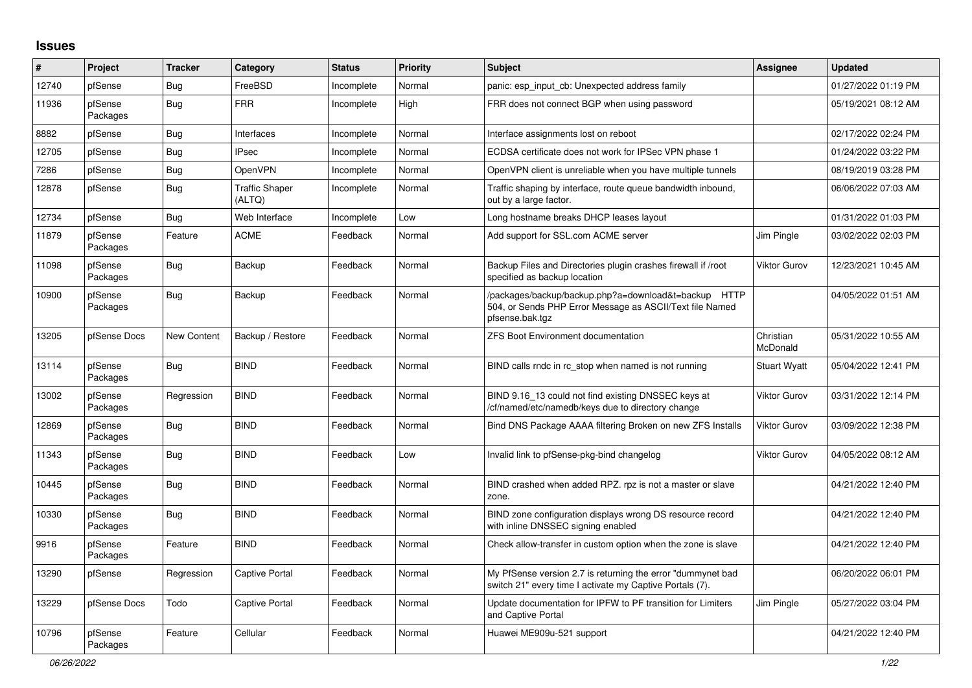## **Issues**

| $\#$  | Project             | <b>Tracker</b>     | Category                        | <b>Status</b> | <b>Priority</b> | <b>Subject</b>                                                                                                                      | Assignee              | <b>Updated</b>      |
|-------|---------------------|--------------------|---------------------------------|---------------|-----------------|-------------------------------------------------------------------------------------------------------------------------------------|-----------------------|---------------------|
| 12740 | pfSense             | Bug                | FreeBSD                         | Incomplete    | Normal          | panic: esp input cb: Unexpected address family                                                                                      |                       | 01/27/2022 01:19 PM |
| 11936 | pfSense<br>Packages | <b>Bug</b>         | <b>FRR</b>                      | Incomplete    | High            | FRR does not connect BGP when using password                                                                                        |                       | 05/19/2021 08:12 AM |
| 8882  | pfSense             | <b>Bug</b>         | Interfaces                      | Incomplete    | Normal          | Interface assignments lost on reboot                                                                                                |                       | 02/17/2022 02:24 PM |
| 12705 | pfSense             | Bug                | <b>IPsec</b>                    | Incomplete    | Normal          | ECDSA certificate does not work for IPSec VPN phase 1                                                                               |                       | 01/24/2022 03:22 PM |
| 7286  | pfSense             | <b>Bug</b>         | OpenVPN                         | Incomplete    | Normal          | OpenVPN client is unreliable when you have multiple tunnels                                                                         |                       | 08/19/2019 03:28 PM |
| 12878 | pfSense             | <b>Bug</b>         | <b>Traffic Shaper</b><br>(ALTQ) | Incomplete    | Normal          | Traffic shaping by interface, route queue bandwidth inbound,<br>out by a large factor.                                              |                       | 06/06/2022 07:03 AM |
| 12734 | pfSense             | <b>Bug</b>         | Web Interface                   | Incomplete    | Low             | Long hostname breaks DHCP leases layout                                                                                             |                       | 01/31/2022 01:03 PM |
| 11879 | pfSense<br>Packages | Feature            | <b>ACME</b>                     | Feedback      | Normal          | Add support for SSL.com ACME server                                                                                                 | Jim Pingle            | 03/02/2022 02:03 PM |
| 11098 | pfSense<br>Packages | <b>Bug</b>         | Backup                          | Feedback      | Normal          | Backup Files and Directories plugin crashes firewall if /root<br>specified as backup location                                       | Viktor Gurov          | 12/23/2021 10:45 AM |
| 10900 | pfSense<br>Packages | <b>Bug</b>         | Backup                          | Feedback      | Normal          | /packages/backup/backup.php?a=download&t=backup HTTP<br>504, or Sends PHP Error Message as ASCII/Text file Named<br>pfsense.bak.tgz |                       | 04/05/2022 01:51 AM |
| 13205 | pfSense Docs        | <b>New Content</b> | Backup / Restore                | Feedback      | Normal          | <b>ZFS Boot Environment documentation</b>                                                                                           | Christian<br>McDonald | 05/31/2022 10:55 AM |
| 13114 | pfSense<br>Packages | <b>Bug</b>         | <b>BIND</b>                     | Feedback      | Normal          | BIND calls rndc in rc stop when named is not running                                                                                | <b>Stuart Wyatt</b>   | 05/04/2022 12:41 PM |
| 13002 | pfSense<br>Packages | Regression         | <b>BIND</b>                     | Feedback      | Normal          | BIND 9.16_13 could not find existing DNSSEC keys at<br>/cf/named/etc/namedb/keys due to directory change                            | Viktor Gurov          | 03/31/2022 12:14 PM |
| 12869 | pfSense<br>Packages | <b>Bug</b>         | <b>BIND</b>                     | Feedback      | Normal          | Bind DNS Package AAAA filtering Broken on new ZFS Installs                                                                          | Viktor Gurov          | 03/09/2022 12:38 PM |
| 11343 | pfSense<br>Packages | <b>Bug</b>         | <b>BIND</b>                     | Feedback      | Low             | Invalid link to pfSense-pkg-bind changelog                                                                                          | Viktor Gurov          | 04/05/2022 08:12 AM |
| 10445 | pfSense<br>Packages | <b>Bug</b>         | <b>BIND</b>                     | Feedback      | Normal          | BIND crashed when added RPZ. rpz is not a master or slave<br>zone.                                                                  |                       | 04/21/2022 12:40 PM |
| 10330 | pfSense<br>Packages | <b>Bug</b>         | <b>BIND</b>                     | Feedback      | Normal          | BIND zone configuration displays wrong DS resource record<br>with inline DNSSEC signing enabled                                     |                       | 04/21/2022 12:40 PM |
| 9916  | pfSense<br>Packages | Feature            | <b>BIND</b>                     | Feedback      | Normal          | Check allow-transfer in custom option when the zone is slave                                                                        |                       | 04/21/2022 12:40 PM |
| 13290 | pfSense             | Regression         | <b>Captive Portal</b>           | Feedback      | Normal          | My PfSense version 2.7 is returning the error "dummynet bad"<br>switch 21" every time I activate my Captive Portals (7).            |                       | 06/20/2022 06:01 PM |
| 13229 | pfSense Docs        | Todo               | <b>Captive Portal</b>           | Feedback      | Normal          | Update documentation for IPFW to PF transition for Limiters<br>and Captive Portal                                                   | Jim Pingle            | 05/27/2022 03:04 PM |
| 10796 | pfSense<br>Packages | Feature            | Cellular                        | Feedback      | Normal          | Huawei ME909u-521 support                                                                                                           |                       | 04/21/2022 12:40 PM |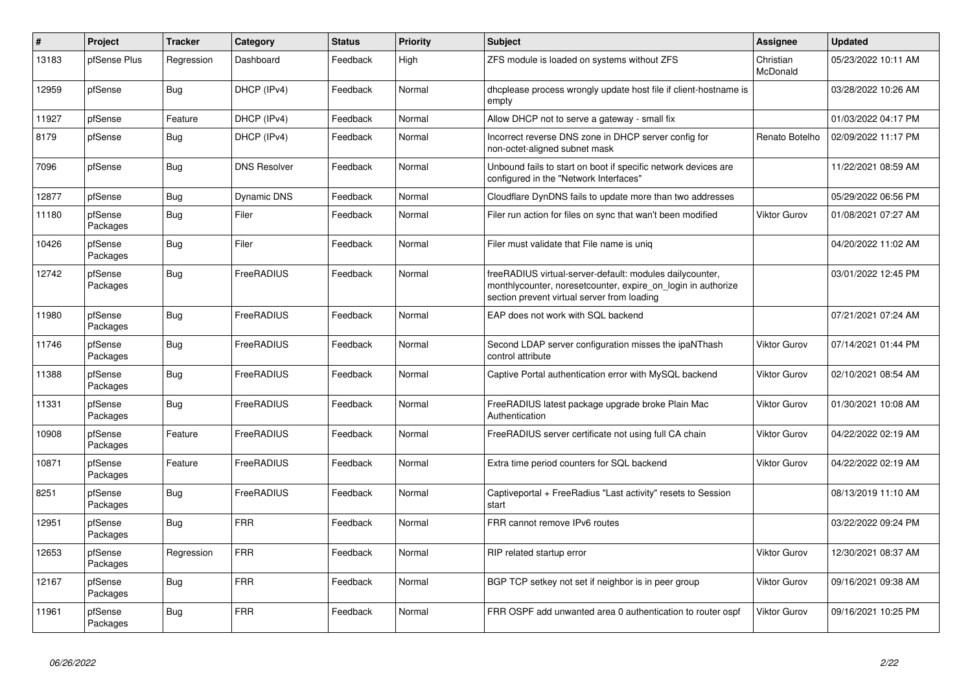| $\vert$ # | Project             | <b>Tracker</b> | Category            | <b>Status</b> | <b>Priority</b> | <b>Subject</b>                                                                                                                                                          | Assignee              | <b>Updated</b>      |
|-----------|---------------------|----------------|---------------------|---------------|-----------------|-------------------------------------------------------------------------------------------------------------------------------------------------------------------------|-----------------------|---------------------|
| 13183     | pfSense Plus        | Regression     | Dashboard           | Feedback      | High            | ZFS module is loaded on systems without ZFS                                                                                                                             | Christian<br>McDonald | 05/23/2022 10:11 AM |
| 12959     | pfSense             | Bug            | DHCP (IPv4)         | Feedback      | Normal          | dhoplease process wrongly update host file if client-hostname is<br>empty                                                                                               |                       | 03/28/2022 10:26 AM |
| 11927     | pfSense             | Feature        | DHCP (IPv4)         | Feedback      | Normal          | Allow DHCP not to serve a gateway - small fix                                                                                                                           |                       | 01/03/2022 04:17 PM |
| 8179      | pfSense             | Bug            | DHCP (IPv4)         | Feedback      | Normal          | Incorrect reverse DNS zone in DHCP server config for<br>non-octet-aligned subnet mask                                                                                   | Renato Botelho        | 02/09/2022 11:17 PM |
| 7096      | pfSense             | <b>Bug</b>     | <b>DNS Resolver</b> | Feedback      | Normal          | Unbound fails to start on boot if specific network devices are<br>configured in the "Network Interfaces"                                                                |                       | 11/22/2021 08:59 AM |
| 12877     | pfSense             | <b>Bug</b>     | <b>Dynamic DNS</b>  | Feedback      | Normal          | Cloudflare DynDNS fails to update more than two addresses                                                                                                               |                       | 05/29/2022 06:56 PM |
| 11180     | pfSense<br>Packages | Bug            | Filer               | Feedback      | Normal          | Filer run action for files on sync that wan't been modified                                                                                                             | <b>Viktor Gurov</b>   | 01/08/2021 07:27 AM |
| 10426     | pfSense<br>Packages | Bug            | Filer               | Feedback      | Normal          | Filer must validate that File name is uniq                                                                                                                              |                       | 04/20/2022 11:02 AM |
| 12742     | pfSense<br>Packages | Bug            | FreeRADIUS          | Feedback      | Normal          | freeRADIUS virtual-server-default: modules dailycounter,<br>monthlycounter, noresetcounter, expire_on_login in authorize<br>section prevent virtual server from loading |                       | 03/01/2022 12:45 PM |
| 11980     | pfSense<br>Packages | <b>Bug</b>     | FreeRADIUS          | Feedback      | Normal          | EAP does not work with SQL backend                                                                                                                                      |                       | 07/21/2021 07:24 AM |
| 11746     | pfSense<br>Packages | Bug            | FreeRADIUS          | Feedback      | Normal          | Second LDAP server configuration misses the ipaNThash<br>control attribute                                                                                              | <b>Viktor Gurov</b>   | 07/14/2021 01:44 PM |
| 11388     | pfSense<br>Packages | Bug            | FreeRADIUS          | Feedback      | Normal          | Captive Portal authentication error with MySQL backend                                                                                                                  | <b>Viktor Gurov</b>   | 02/10/2021 08:54 AM |
| 11331     | pfSense<br>Packages | Bug            | FreeRADIUS          | Feedback      | Normal          | FreeRADIUS latest package upgrade broke Plain Mac<br>Authentication                                                                                                     | <b>Viktor Gurov</b>   | 01/30/2021 10:08 AM |
| 10908     | pfSense<br>Packages | Feature        | FreeRADIUS          | Feedback      | Normal          | FreeRADIUS server certificate not using full CA chain                                                                                                                   | <b>Viktor Gurov</b>   | 04/22/2022 02:19 AM |
| 10871     | pfSense<br>Packages | Feature        | FreeRADIUS          | Feedback      | Normal          | Extra time period counters for SQL backend                                                                                                                              | <b>Viktor Gurov</b>   | 04/22/2022 02:19 AM |
| 8251      | pfSense<br>Packages | <b>Bug</b>     | FreeRADIUS          | Feedback      | Normal          | Captiveportal + FreeRadius "Last activity" resets to Session<br>start                                                                                                   |                       | 08/13/2019 11:10 AM |
| 12951     | pfSense<br>Packages | Bug            | <b>FRR</b>          | Feedback      | Normal          | FRR cannot remove IPv6 routes                                                                                                                                           |                       | 03/22/2022 09:24 PM |
| 12653     | pfSense<br>Packages | Regression     | <b>FRR</b>          | Feedback      | Normal          | RIP related startup error                                                                                                                                               | <b>Viktor Gurov</b>   | 12/30/2021 08:37 AM |
| 12167     | pfSense<br>Packages | Bug            | <b>FRR</b>          | Feedback      | Normal          | BGP TCP setkey not set if neighbor is in peer group                                                                                                                     | <b>Viktor Gurov</b>   | 09/16/2021 09:38 AM |
| 11961     | pfSense<br>Packages | <b>Bug</b>     | <b>FRR</b>          | Feedback      | Normal          | FRR OSPF add unwanted area 0 authentication to router ospf                                                                                                              | <b>Viktor Gurov</b>   | 09/16/2021 10:25 PM |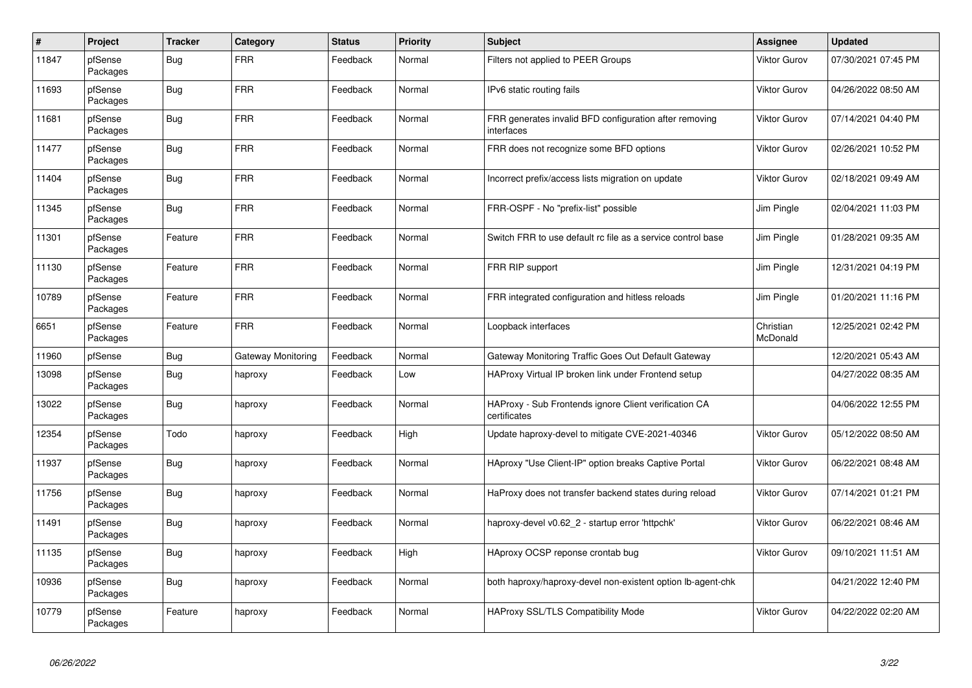| $\pmb{\#}$ | Project             | <b>Tracker</b> | Category           | <b>Status</b> | <b>Priority</b> | <b>Subject</b>                                                        | Assignee              | <b>Updated</b>      |
|------------|---------------------|----------------|--------------------|---------------|-----------------|-----------------------------------------------------------------------|-----------------------|---------------------|
| 11847      | pfSense<br>Packages | Bug            | <b>FRR</b>         | Feedback      | Normal          | Filters not applied to PEER Groups                                    | Viktor Gurov          | 07/30/2021 07:45 PM |
| 11693      | pfSense<br>Packages | Bug            | <b>FRR</b>         | Feedback      | Normal          | IPv6 static routing fails                                             | Viktor Gurov          | 04/26/2022 08:50 AM |
| 11681      | pfSense<br>Packages | <b>Bug</b>     | <b>FRR</b>         | Feedback      | Normal          | FRR generates invalid BFD configuration after removing<br>interfaces  | Viktor Gurov          | 07/14/2021 04:40 PM |
| 11477      | pfSense<br>Packages | <b>Bug</b>     | <b>FRR</b>         | Feedback      | Normal          | FRR does not recognize some BFD options                               | Viktor Gurov          | 02/26/2021 10:52 PM |
| 11404      | pfSense<br>Packages | <b>Bug</b>     | <b>FRR</b>         | Feedback      | Normal          | Incorrect prefix/access lists migration on update                     | Viktor Gurov          | 02/18/2021 09:49 AM |
| 11345      | pfSense<br>Packages | <b>Bug</b>     | <b>FRR</b>         | Feedback      | Normal          | FRR-OSPF - No "prefix-list" possible                                  | Jim Pingle            | 02/04/2021 11:03 PM |
| 11301      | pfSense<br>Packages | Feature        | <b>FRR</b>         | Feedback      | Normal          | Switch FRR to use default rc file as a service control base           | Jim Pingle            | 01/28/2021 09:35 AM |
| 11130      | pfSense<br>Packages | Feature        | <b>FRR</b>         | Feedback      | Normal          | FRR RIP support                                                       | Jim Pingle            | 12/31/2021 04:19 PM |
| 10789      | pfSense<br>Packages | Feature        | <b>FRR</b>         | Feedback      | Normal          | FRR integrated configuration and hitless reloads                      | Jim Pingle            | 01/20/2021 11:16 PM |
| 6651       | pfSense<br>Packages | Feature        | <b>FRR</b>         | Feedback      | Normal          | Loopback interfaces                                                   | Christian<br>McDonald | 12/25/2021 02:42 PM |
| 11960      | pfSense             | <b>Bug</b>     | Gateway Monitoring | Feedback      | Normal          | Gateway Monitoring Traffic Goes Out Default Gateway                   |                       | 12/20/2021 05:43 AM |
| 13098      | pfSense<br>Packages | <b>Bug</b>     | haproxy            | Feedback      | Low             | HAProxy Virtual IP broken link under Frontend setup                   |                       | 04/27/2022 08:35 AM |
| 13022      | pfSense<br>Packages | Bug            | haproxy            | Feedback      | Normal          | HAProxy - Sub Frontends ignore Client verification CA<br>certificates |                       | 04/06/2022 12:55 PM |
| 12354      | pfSense<br>Packages | Todo           | haproxy            | Feedback      | High            | Update haproxy-devel to mitigate CVE-2021-40346                       | Viktor Gurov          | 05/12/2022 08:50 AM |
| 11937      | pfSense<br>Packages | Bug            | haproxy            | Feedback      | Normal          | HAproxy "Use Client-IP" option breaks Captive Portal                  | <b>Viktor Gurov</b>   | 06/22/2021 08:48 AM |
| 11756      | pfSense<br>Packages | <b>Bug</b>     | haproxy            | Feedback      | Normal          | HaProxy does not transfer backend states during reload                | Viktor Gurov          | 07/14/2021 01:21 PM |
| 11491      | pfSense<br>Packages | Bug            | haproxy            | Feedback      | Normal          | haproxy-devel v0.62_2 - startup error 'httpchk'                       | Viktor Gurov          | 06/22/2021 08:46 AM |
| 11135      | pfSense<br>Packages | Bug            | haproxy            | Feedback      | High            | HAproxy OCSP reponse crontab bug                                      | Viktor Gurov          | 09/10/2021 11:51 AM |
| 10936      | pfSense<br>Packages | Bug            | haproxy            | Feedback      | Normal          | both haproxy/haproxy-devel non-existent option Ib-agent-chk           |                       | 04/21/2022 12:40 PM |
| 10779      | pfSense<br>Packages | Feature        | haproxy            | Feedback      | Normal          | HAProxy SSL/TLS Compatibility Mode                                    | Viktor Gurov          | 04/22/2022 02:20 AM |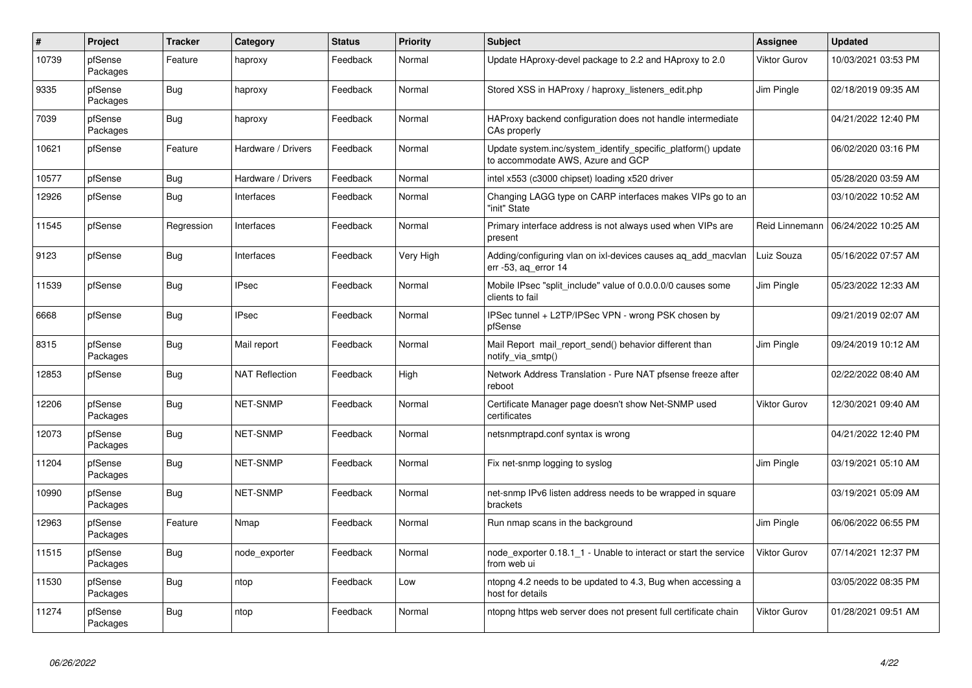| $\sharp$ | Project             | <b>Tracker</b> | Category              | <b>Status</b> | <b>Priority</b> | <b>Subject</b>                                                                                    | <b>Assignee</b>     | <b>Updated</b>      |
|----------|---------------------|----------------|-----------------------|---------------|-----------------|---------------------------------------------------------------------------------------------------|---------------------|---------------------|
| 10739    | pfSense<br>Packages | Feature        | haproxy               | Feedback      | Normal          | Update HAproxy-devel package to 2.2 and HAproxy to 2.0                                            | Viktor Gurov        | 10/03/2021 03:53 PM |
| 9335     | pfSense<br>Packages | Bug            | haproxy               | Feedback      | Normal          | Stored XSS in HAProxy / haproxy listeners edit.php                                                | Jim Pingle          | 02/18/2019 09:35 AM |
| 7039     | pfSense<br>Packages | <b>Bug</b>     | haproxy               | Feedback      | Normal          | HAProxy backend configuration does not handle intermediate<br>CAs properly                        |                     | 04/21/2022 12:40 PM |
| 10621    | pfSense             | Feature        | Hardware / Drivers    | Feedback      | Normal          | Update system.inc/system_identify_specific_platform() update<br>to accommodate AWS, Azure and GCP |                     | 06/02/2020 03:16 PM |
| 10577    | pfSense             | Bug            | Hardware / Drivers    | Feedback      | Normal          | intel x553 (c3000 chipset) loading x520 driver                                                    |                     | 05/28/2020 03:59 AM |
| 12926    | pfSense             | Bug            | Interfaces            | Feedback      | Normal          | Changing LAGG type on CARP interfaces makes VIPs go to an<br>"init" State                         |                     | 03/10/2022 10:52 AM |
| 11545    | pfSense             | Regression     | Interfaces            | Feedback      | Normal          | Primary interface address is not always used when VIPs are<br>present                             | Reid Linnemann      | 06/24/2022 10:25 AM |
| 9123     | pfSense             | Bug            | Interfaces            | Feedback      | Very High       | Adding/configuring vlan on ixl-devices causes ag add macvlan<br>err $-53$ , ag error 14           | Luiz Souza          | 05/16/2022 07:57 AM |
| 11539    | pfSense             | <b>Bug</b>     | <b>IPsec</b>          | Feedback      | Normal          | Mobile IPsec "split_include" value of 0.0.0.0/0 causes some<br>clients to fail                    | Jim Pingle          | 05/23/2022 12:33 AM |
| 6668     | pfSense             | Bug            | <b>IPsec</b>          | Feedback      | Normal          | IPSec tunnel + L2TP/IPSec VPN - wrong PSK chosen by<br>pfSense                                    |                     | 09/21/2019 02:07 AM |
| 8315     | pfSense<br>Packages | Bug            | Mail report           | Feedback      | Normal          | Mail Report mail_report_send() behavior different than<br>notify via smtp()                       | Jim Pingle          | 09/24/2019 10:12 AM |
| 12853    | pfSense             | <b>Bug</b>     | <b>NAT Reflection</b> | Feedback      | High            | Network Address Translation - Pure NAT pfsense freeze after<br>reboot                             |                     | 02/22/2022 08:40 AM |
| 12206    | pfSense<br>Packages | Bug            | <b>NET-SNMP</b>       | Feedback      | Normal          | Certificate Manager page doesn't show Net-SNMP used<br>certificates                               | Viktor Gurov        | 12/30/2021 09:40 AM |
| 12073    | pfSense<br>Packages | Bug            | <b>NET-SNMP</b>       | Feedback      | Normal          | netsnmptrapd.conf syntax is wrong                                                                 |                     | 04/21/2022 12:40 PM |
| 11204    | pfSense<br>Packages | <b>Bug</b>     | NET-SNMP              | Feedback      | Normal          | Fix net-snmp logging to syslog                                                                    | Jim Pingle          | 03/19/2021 05:10 AM |
| 10990    | pfSense<br>Packages | Bug            | NET-SNMP              | Feedback      | Normal          | net-snmp IPv6 listen address needs to be wrapped in square<br>brackets                            |                     | 03/19/2021 05:09 AM |
| 12963    | pfSense<br>Packages | Feature        | Nmap                  | Feedback      | Normal          | Run nmap scans in the background                                                                  | Jim Pingle          | 06/06/2022 06:55 PM |
| 11515    | pfSense<br>Packages | <b>Bug</b>     | node_exporter         | Feedback      | Normal          | node exporter 0.18.1 1 - Unable to interact or start the service<br>from web ui                   | <b>Viktor Gurov</b> | 07/14/2021 12:37 PM |
| 11530    | pfSense<br>Packages | Bug            | ntop                  | Feedback      | Low             | ntopng 4.2 needs to be updated to 4.3, Bug when accessing a<br>host for details                   |                     | 03/05/2022 08:35 PM |
| 11274    | pfSense<br>Packages | Bug            | ntop                  | Feedback      | Normal          | ntopng https web server does not present full certificate chain                                   | Viktor Gurov        | 01/28/2021 09:51 AM |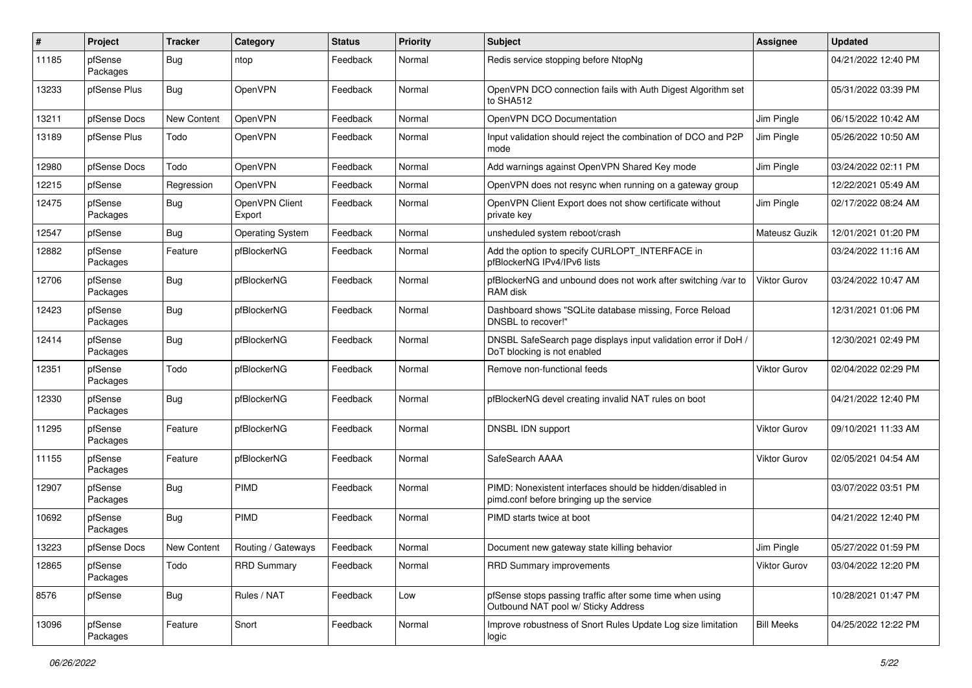| $\sharp$ | Project             | <b>Tracker</b>     | Category                 | <b>Status</b> | <b>Priority</b> | Subject                                                                                               | <b>Assignee</b>     | <b>Updated</b>      |
|----------|---------------------|--------------------|--------------------------|---------------|-----------------|-------------------------------------------------------------------------------------------------------|---------------------|---------------------|
| 11185    | pfSense<br>Packages | <b>Bug</b>         | ntop                     | Feedback      | Normal          | Redis service stopping before NtopNg                                                                  |                     | 04/21/2022 12:40 PM |
| 13233    | pfSense Plus        | Bug                | OpenVPN                  | Feedback      | Normal          | OpenVPN DCO connection fails with Auth Digest Algorithm set<br>to SHA512                              |                     | 05/31/2022 03:39 PM |
| 13211    | pfSense Docs        | <b>New Content</b> | OpenVPN                  | Feedback      | Normal          | OpenVPN DCO Documentation                                                                             | Jim Pingle          | 06/15/2022 10:42 AM |
| 13189    | pfSense Plus        | Todo               | OpenVPN                  | Feedback      | Normal          | Input validation should reject the combination of DCO and P2P<br>mode                                 | Jim Pingle          | 05/26/2022 10:50 AM |
| 12980    | pfSense Docs        | Todo               | OpenVPN                  | Feedback      | Normal          | Add warnings against OpenVPN Shared Key mode                                                          | Jim Pingle          | 03/24/2022 02:11 PM |
| 12215    | pfSense             | Regression         | OpenVPN                  | Feedback      | Normal          | OpenVPN does not resync when running on a gateway group                                               |                     | 12/22/2021 05:49 AM |
| 12475    | pfSense<br>Packages | <b>Bug</b>         | OpenVPN Client<br>Export | Feedback      | Normal          | OpenVPN Client Export does not show certificate without<br>private key                                | Jim Pingle          | 02/17/2022 08:24 AM |
| 12547    | pfSense             | <b>Bug</b>         | <b>Operating System</b>  | Feedback      | Normal          | unsheduled system reboot/crash                                                                        | Mateusz Guzik       | 12/01/2021 01:20 PM |
| 12882    | pfSense<br>Packages | Feature            | pfBlockerNG              | Feedback      | Normal          | Add the option to specify CURLOPT_INTERFACE in<br>pfBlockerNG IPv4/IPv6 lists                         |                     | 03/24/2022 11:16 AM |
| 12706    | pfSense<br>Packages | <b>Bug</b>         | pfBlockerNG              | Feedback      | Normal          | pfBlockerNG and unbound does not work after switching /var to<br>RAM disk                             | Viktor Gurov        | 03/24/2022 10:47 AM |
| 12423    | pfSense<br>Packages | <b>Bug</b>         | pfBlockerNG              | Feedback      | Normal          | Dashboard shows "SQLite database missing, Force Reload<br>DNSBL to recover!"                          |                     | 12/31/2021 01:06 PM |
| 12414    | pfSense<br>Packages | <b>Bug</b>         | pfBlockerNG              | Feedback      | Normal          | DNSBL SafeSearch page displays input validation error if DoH /<br>DoT blocking is not enabled         |                     | 12/30/2021 02:49 PM |
| 12351    | pfSense<br>Packages | Todo               | pfBlockerNG              | Feedback      | Normal          | Remove non-functional feeds                                                                           | Viktor Gurov        | 02/04/2022 02:29 PM |
| 12330    | pfSense<br>Packages | <b>Bug</b>         | pfBlockerNG              | Feedback      | Normal          | pfBlockerNG devel creating invalid NAT rules on boot                                                  |                     | 04/21/2022 12:40 PM |
| 11295    | pfSense<br>Packages | Feature            | pfBlockerNG              | Feedback      | Normal          | DNSBL IDN support                                                                                     | Viktor Gurov        | 09/10/2021 11:33 AM |
| 11155    | pfSense<br>Packages | Feature            | pfBlockerNG              | Feedback      | Normal          | SafeSearch AAAA                                                                                       | Viktor Gurov        | 02/05/2021 04:54 AM |
| 12907    | pfSense<br>Packages | <b>Bug</b>         | PIMD                     | Feedback      | Normal          | PIMD: Nonexistent interfaces should be hidden/disabled in<br>pimd.conf before bringing up the service |                     | 03/07/2022 03:51 PM |
| 10692    | pfSense<br>Packages | <b>Bug</b>         | PIMD                     | Feedback      | Normal          | PIMD starts twice at boot                                                                             |                     | 04/21/2022 12:40 PM |
| 13223    | pfSense Docs        | New Content        | Routing / Gateways       | Feedback      | Normal          | Document new gateway state killing behavior                                                           | Jim Pingle          | 05/27/2022 01:59 PM |
| 12865    | pfSense<br>Packages | Todo               | <b>RRD Summary</b>       | Feedback      | Normal          | RRD Summary improvements                                                                              | <b>Viktor Gurov</b> | 03/04/2022 12:20 PM |
| 8576     | pfSense             | <b>Bug</b>         | Rules / NAT              | Feedback      | Low             | pfSense stops passing traffic after some time when using<br>Outbound NAT pool w/ Sticky Address       |                     | 10/28/2021 01:47 PM |
| 13096    | pfSense<br>Packages | Feature            | Snort                    | Feedback      | Normal          | Improve robustness of Snort Rules Update Log size limitation<br>logic                                 | <b>Bill Meeks</b>   | 04/25/2022 12:22 PM |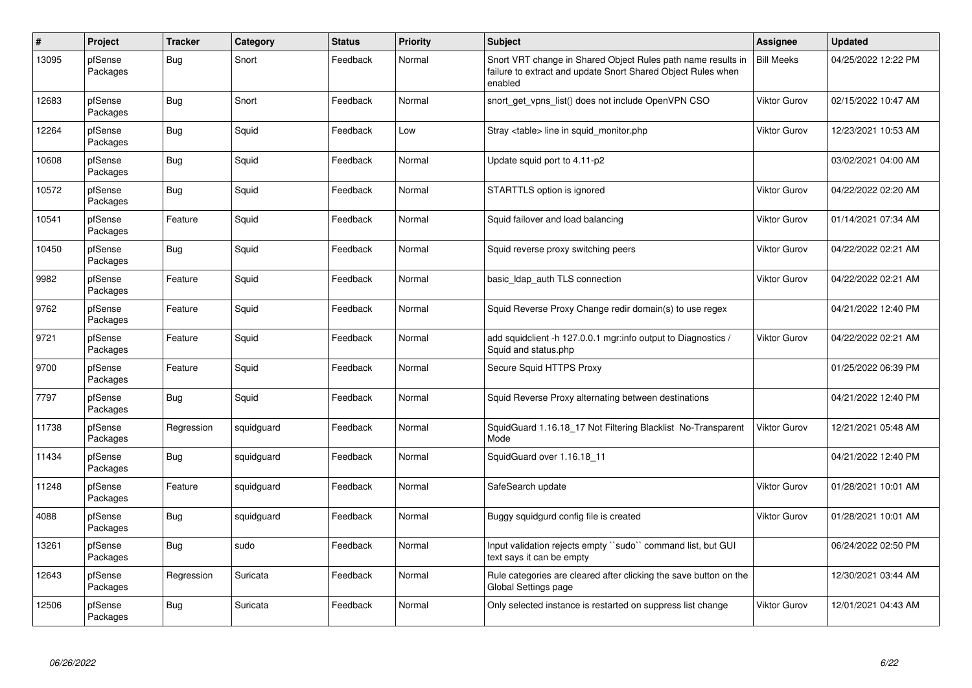| $\vert$ # | Project             | <b>Tracker</b> | Category   | <b>Status</b> | <b>Priority</b> | <b>Subject</b>                                                                                                                          | <b>Assignee</b>     | Updated             |
|-----------|---------------------|----------------|------------|---------------|-----------------|-----------------------------------------------------------------------------------------------------------------------------------------|---------------------|---------------------|
| 13095     | pfSense<br>Packages | <b>Bug</b>     | Snort      | Feedback      | Normal          | Snort VRT change in Shared Object Rules path name results in<br>failure to extract and update Snort Shared Object Rules when<br>enabled | <b>Bill Meeks</b>   | 04/25/2022 12:22 PM |
| 12683     | pfSense<br>Packages | Bug            | Snort      | Feedback      | Normal          | snort get vpns list() does not include OpenVPN CSO                                                                                      | Viktor Gurov        | 02/15/2022 10:47 AM |
| 12264     | pfSense<br>Packages | Bug            | Squid      | Feedback      | Low             | Stray <table> line in squid monitor.php</table>                                                                                         | Viktor Gurov        | 12/23/2021 10:53 AM |
| 10608     | pfSense<br>Packages | <b>Bug</b>     | Squid      | Feedback      | Normal          | Update squid port to 4.11-p2                                                                                                            |                     | 03/02/2021 04:00 AM |
| 10572     | pfSense<br>Packages | <b>Bug</b>     | Squid      | Feedback      | Normal          | STARTTLS option is ignored                                                                                                              | <b>Viktor Gurov</b> | 04/22/2022 02:20 AM |
| 10541     | pfSense<br>Packages | Feature        | Squid      | Feedback      | Normal          | Squid failover and load balancing                                                                                                       | Viktor Gurov        | 01/14/2021 07:34 AM |
| 10450     | pfSense<br>Packages | <b>Bug</b>     | Squid      | Feedback      | Normal          | Squid reverse proxy switching peers                                                                                                     | Viktor Gurov        | 04/22/2022 02:21 AM |
| 9982      | pfSense<br>Packages | Feature        | Squid      | Feedback      | Normal          | basic Idap auth TLS connection                                                                                                          | <b>Viktor Gurov</b> | 04/22/2022 02:21 AM |
| 9762      | pfSense<br>Packages | Feature        | Squid      | Feedback      | Normal          | Squid Reverse Proxy Change redir domain(s) to use regex                                                                                 |                     | 04/21/2022 12:40 PM |
| 9721      | pfSense<br>Packages | Feature        | Squid      | Feedback      | Normal          | add squidclient -h 127.0.0.1 mgr:info output to Diagnostics /<br>Squid and status.php                                                   | Viktor Gurov        | 04/22/2022 02:21 AM |
| 9700      | pfSense<br>Packages | Feature        | Squid      | Feedback      | Normal          | Secure Squid HTTPS Proxy                                                                                                                |                     | 01/25/2022 06:39 PM |
| 7797      | pfSense<br>Packages | <b>Bug</b>     | Squid      | Feedback      | Normal          | Squid Reverse Proxy alternating between destinations                                                                                    |                     | 04/21/2022 12:40 PM |
| 11738     | pfSense<br>Packages | Regression     | squidguard | Feedback      | Normal          | SquidGuard 1.16.18 17 Not Filtering Blacklist No-Transparent<br>Mode                                                                    | Viktor Gurov        | 12/21/2021 05:48 AM |
| 11434     | pfSense<br>Packages | <b>Bug</b>     | squidguard | Feedback      | Normal          | SquidGuard over 1.16.18_11                                                                                                              |                     | 04/21/2022 12:40 PM |
| 11248     | pfSense<br>Packages | Feature        | squidguard | Feedback      | Normal          | SafeSearch update                                                                                                                       | <b>Viktor Gurov</b> | 01/28/2021 10:01 AM |
| 4088      | pfSense<br>Packages | <b>Bug</b>     | squidguard | Feedback      | Normal          | Buggy squidgurd config file is created                                                                                                  | <b>Viktor Gurov</b> | 01/28/2021 10:01 AM |
| 13261     | pfSense<br>Packages | Bug            | sudo       | Feedback      | Normal          | Input validation rejects empty "sudo" command list, but GUI<br>text says it can be empty                                                |                     | 06/24/2022 02:50 PM |
| 12643     | pfSense<br>Packages | Regression     | Suricata   | Feedback      | Normal          | Rule categories are cleared after clicking the save button on the<br>Global Settings page                                               |                     | 12/30/2021 03:44 AM |
| 12506     | pfSense<br>Packages | <b>Bug</b>     | Suricata   | Feedback      | Normal          | Only selected instance is restarted on suppress list change                                                                             | Viktor Gurov        | 12/01/2021 04:43 AM |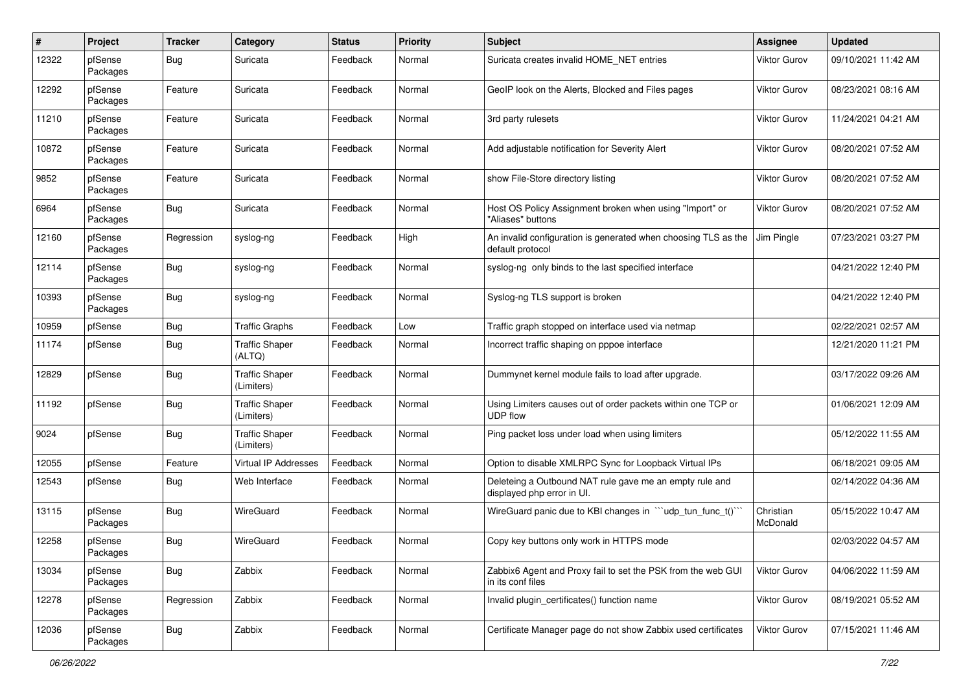| $\pmb{\#}$ | Project             | <b>Tracker</b> | Category                            | <b>Status</b> | <b>Priority</b> | Subject                                                                               | Assignee              | <b>Updated</b>      |
|------------|---------------------|----------------|-------------------------------------|---------------|-----------------|---------------------------------------------------------------------------------------|-----------------------|---------------------|
| 12322      | pfSense<br>Packages | <b>Bug</b>     | Suricata                            | Feedback      | Normal          | Suricata creates invalid HOME NET entries                                             | Viktor Gurov          | 09/10/2021 11:42 AM |
| 12292      | pfSense<br>Packages | Feature        | Suricata                            | Feedback      | Normal          | GeoIP look on the Alerts, Blocked and Files pages                                     | Viktor Gurov          | 08/23/2021 08:16 AM |
| 11210      | pfSense<br>Packages | Feature        | Suricata                            | Feedback      | Normal          | 3rd party rulesets                                                                    | Viktor Gurov          | 11/24/2021 04:21 AM |
| 10872      | pfSense<br>Packages | Feature        | Suricata                            | Feedback      | Normal          | Add adjustable notification for Severity Alert                                        | Viktor Gurov          | 08/20/2021 07:52 AM |
| 9852       | pfSense<br>Packages | Feature        | Suricata                            | Feedback      | Normal          | show File-Store directory listing                                                     | Viktor Gurov          | 08/20/2021 07:52 AM |
| 6964       | pfSense<br>Packages | Bug            | Suricata                            | Feedback      | Normal          | Host OS Policy Assignment broken when using "Import" or<br>"Aliases" buttons          | Viktor Gurov          | 08/20/2021 07:52 AM |
| 12160      | pfSense<br>Packages | Regression     | syslog-ng                           | Feedback      | High            | An invalid configuration is generated when choosing TLS as the<br>default protocol    | Jim Pingle            | 07/23/2021 03:27 PM |
| 12114      | pfSense<br>Packages | <b>Bug</b>     | syslog-ng                           | Feedback      | Normal          | syslog-ng only binds to the last specified interface                                  |                       | 04/21/2022 12:40 PM |
| 10393      | pfSense<br>Packages | <b>Bug</b>     | syslog-ng                           | Feedback      | Normal          | Syslog-ng TLS support is broken                                                       |                       | 04/21/2022 12:40 PM |
| 10959      | pfSense             | <b>Bug</b>     | <b>Traffic Graphs</b>               | Feedback      | Low             | Traffic graph stopped on interface used via netmap                                    |                       | 02/22/2021 02:57 AM |
| 11174      | pfSense             | <b>Bug</b>     | <b>Traffic Shaper</b><br>(ALTQ)     | Feedback      | Normal          | Incorrect traffic shaping on pppoe interface                                          |                       | 12/21/2020 11:21 PM |
| 12829      | pfSense             | <b>Bug</b>     | <b>Traffic Shaper</b><br>(Limiters) | Feedback      | Normal          | Dummynet kernel module fails to load after upgrade.                                   |                       | 03/17/2022 09:26 AM |
| 11192      | pfSense             | Bug            | <b>Traffic Shaper</b><br>(Limiters) | Feedback      | Normal          | Using Limiters causes out of order packets within one TCP or<br><b>UDP flow</b>       |                       | 01/06/2021 12:09 AM |
| 9024       | pfSense             | <b>Bug</b>     | <b>Traffic Shaper</b><br>(Limiters) | Feedback      | Normal          | Ping packet loss under load when using limiters                                       |                       | 05/12/2022 11:55 AM |
| 12055      | pfSense             | Feature        | Virtual IP Addresses                | Feedback      | Normal          | Option to disable XMLRPC Sync for Loopback Virtual IPs                                |                       | 06/18/2021 09:05 AM |
| 12543      | pfSense             | <b>Bug</b>     | Web Interface                       | Feedback      | Normal          | Deleteing a Outbound NAT rule gave me an empty rule and<br>displayed php error in UI. |                       | 02/14/2022 04:36 AM |
| 13115      | pfSense<br>Packages | <b>Bug</b>     | WireGuard                           | Feedback      | Normal          | WireGuard panic due to KBI changes in "'udp_tun_func_t()'"                            | Christian<br>McDonald | 05/15/2022 10:47 AM |
| 12258      | pfSense<br>Packages | <b>Bug</b>     | WireGuard                           | Feedback      | Normal          | Copy key buttons only work in HTTPS mode                                              |                       | 02/03/2022 04:57 AM |
| 13034      | pfSense<br>Packages | Bug            | Zabbix                              | Feedback      | Normal          | Zabbix6 Agent and Proxy fail to set the PSK from the web GUI<br>in its conf files     | <b>Viktor Gurov</b>   | 04/06/2022 11:59 AM |
| 12278      | pfSense<br>Packages | Regression     | Zabbix                              | Feedback      | Normal          | Invalid plugin_certificates() function name                                           | <b>Viktor Gurov</b>   | 08/19/2021 05:52 AM |
| 12036      | pfSense<br>Packages | <b>Bug</b>     | Zabbix                              | Feedback      | Normal          | Certificate Manager page do not show Zabbix used certificates                         | Viktor Gurov          | 07/15/2021 11:46 AM |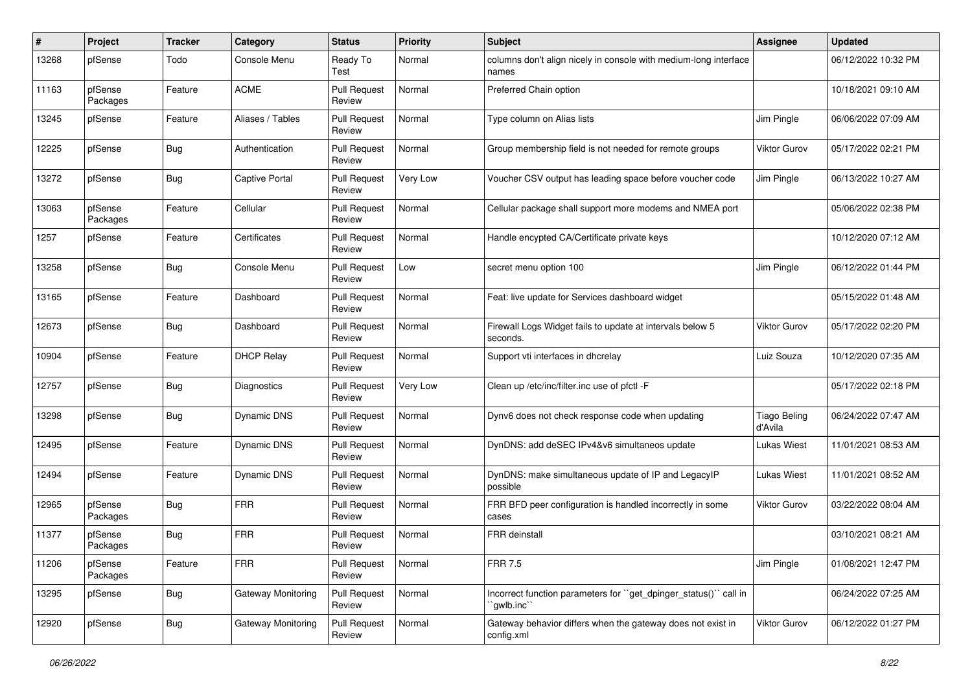| #     | Project             | <b>Tracker</b> | Category                  | <b>Status</b>                 | <b>Priority</b> | <b>Subject</b>                                                                  | <b>Assignee</b>                | <b>Updated</b>      |
|-------|---------------------|----------------|---------------------------|-------------------------------|-----------------|---------------------------------------------------------------------------------|--------------------------------|---------------------|
| 13268 | pfSense             | Todo           | Console Menu              | Ready To<br>Test              | Normal          | columns don't align nicely in console with medium-long interface<br>names       |                                | 06/12/2022 10:32 PM |
| 11163 | pfSense<br>Packages | Feature        | <b>ACME</b>               | <b>Pull Request</b><br>Review | Normal          | Preferred Chain option                                                          |                                | 10/18/2021 09:10 AM |
| 13245 | pfSense             | Feature        | Aliases / Tables          | <b>Pull Request</b><br>Review | Normal          | Type column on Alias lists                                                      | Jim Pingle                     | 06/06/2022 07:09 AM |
| 12225 | pfSense             | <b>Bug</b>     | Authentication            | <b>Pull Request</b><br>Review | Normal          | Group membership field is not needed for remote groups                          | <b>Viktor Gurov</b>            | 05/17/2022 02:21 PM |
| 13272 | pfSense             | <b>Bug</b>     | <b>Captive Portal</b>     | <b>Pull Request</b><br>Review | Very Low        | Voucher CSV output has leading space before voucher code                        | Jim Pingle                     | 06/13/2022 10:27 AM |
| 13063 | pfSense<br>Packages | Feature        | Cellular                  | <b>Pull Request</b><br>Review | Normal          | Cellular package shall support more modems and NMEA port                        |                                | 05/06/2022 02:38 PM |
| 1257  | pfSense             | Feature        | Certificates              | <b>Pull Request</b><br>Review | Normal          | Handle encypted CA/Certificate private keys                                     |                                | 10/12/2020 07:12 AM |
| 13258 | pfSense             | Bug            | Console Menu              | <b>Pull Request</b><br>Review | Low             | secret menu option 100                                                          | Jim Pingle                     | 06/12/2022 01:44 PM |
| 13165 | pfSense             | Feature        | Dashboard                 | <b>Pull Request</b><br>Review | Normal          | Feat: live update for Services dashboard widget                                 |                                | 05/15/2022 01:48 AM |
| 12673 | pfSense             | <b>Bug</b>     | Dashboard                 | <b>Pull Request</b><br>Review | Normal          | Firewall Logs Widget fails to update at intervals below 5<br>seconds.           | Viktor Gurov                   | 05/17/2022 02:20 PM |
| 10904 | pfSense             | Feature        | <b>DHCP Relay</b>         | <b>Pull Request</b><br>Review | Normal          | Support vti interfaces in dhcrelay                                              | Luiz Souza                     | 10/12/2020 07:35 AM |
| 12757 | pfSense             | Bug            | Diagnostics               | <b>Pull Request</b><br>Review | Very Low        | Clean up /etc/inc/filter.inc use of pfctl -F                                    |                                | 05/17/2022 02:18 PM |
| 13298 | pfSense             | Bug            | Dynamic DNS               | <b>Pull Request</b><br>Review | Normal          | Dynv6 does not check response code when updating                                | <b>Tiago Beling</b><br>d'Avila | 06/24/2022 07:47 AM |
| 12495 | pfSense             | Feature        | Dynamic DNS               | <b>Pull Request</b><br>Review | Normal          | DynDNS: add deSEC IPv4&v6 simultaneos update                                    | Lukas Wiest                    | 11/01/2021 08:53 AM |
| 12494 | pfSense             | Feature        | Dynamic DNS               | <b>Pull Request</b><br>Review | Normal          | DynDNS: make simultaneous update of IP and LegacyIP<br>possible                 | Lukas Wiest                    | 11/01/2021 08:52 AM |
| 12965 | pfSense<br>Packages | <b>Bug</b>     | <b>FRR</b>                | <b>Pull Request</b><br>Review | Normal          | FRR BFD peer configuration is handled incorrectly in some<br>cases              | <b>Viktor Gurov</b>            | 03/22/2022 08:04 AM |
| 11377 | pfSense<br>Packages | <b>Bug</b>     | <b>FRR</b>                | <b>Pull Request</b><br>Review | Normal          | <b>FRR</b> deinstall                                                            |                                | 03/10/2021 08:21 AM |
| 11206 | pfSense<br>Packages | Feature        | <b>FRR</b>                | <b>Pull Request</b><br>Review | Normal          | <b>FRR 7.5</b>                                                                  | Jim Pingle                     | 01/08/2021 12:47 PM |
| 13295 | pfSense             | <b>Bug</b>     | <b>Gateway Monitoring</b> | <b>Pull Request</b><br>Review | Normal          | Incorrect function parameters for "get_dpinger_status()" call in<br>`gwlb.inc`` |                                | 06/24/2022 07:25 AM |
| 12920 | pfSense             | Bug            | <b>Gateway Monitoring</b> | <b>Pull Request</b><br>Review | Normal          | Gateway behavior differs when the gateway does not exist in<br>config.xml       | Viktor Gurov                   | 06/12/2022 01:27 PM |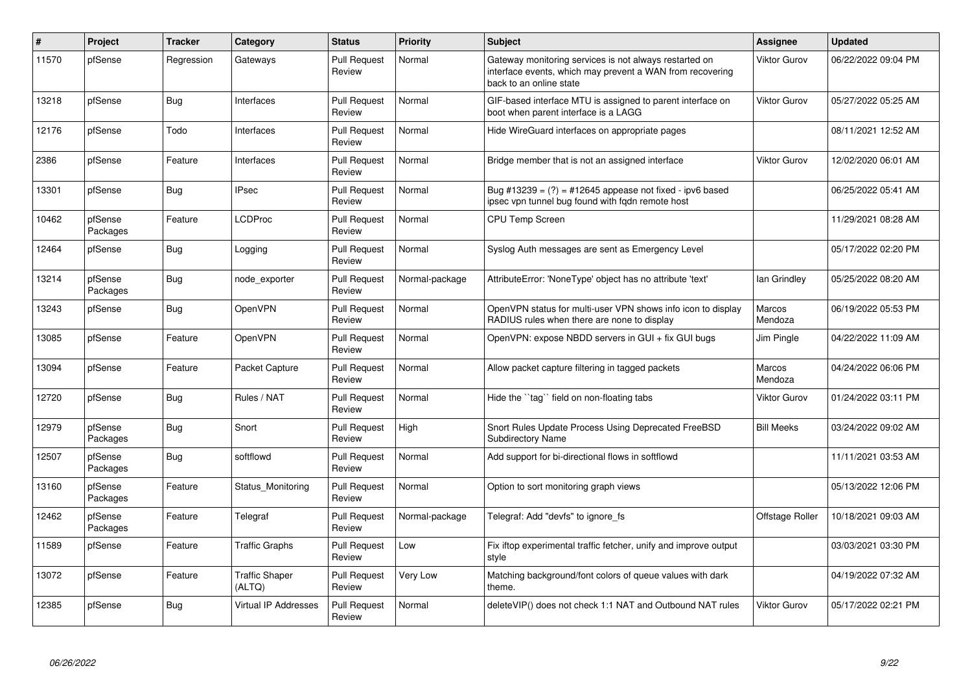| $\vert$ # | Project             | <b>Tracker</b> | Category                        | <b>Status</b>                 | <b>Priority</b> | <b>Subject</b>                                                                                                                                 | Assignee                 | <b>Updated</b>      |
|-----------|---------------------|----------------|---------------------------------|-------------------------------|-----------------|------------------------------------------------------------------------------------------------------------------------------------------------|--------------------------|---------------------|
| 11570     | pfSense             | Regression     | Gateways                        | <b>Pull Request</b><br>Review | Normal          | Gateway monitoring services is not always restarted on<br>interface events, which may prevent a WAN from recovering<br>back to an online state | Viktor Gurov             | 06/22/2022 09:04 PM |
| 13218     | pfSense             | <b>Bug</b>     | Interfaces                      | <b>Pull Request</b><br>Review | Normal          | GIF-based interface MTU is assigned to parent interface on<br>boot when parent interface is a LAGG                                             | Viktor Gurov             | 05/27/2022 05:25 AM |
| 12176     | pfSense             | Todo           | Interfaces                      | <b>Pull Request</b><br>Review | Normal          | Hide WireGuard interfaces on appropriate pages                                                                                                 |                          | 08/11/2021 12:52 AM |
| 2386      | pfSense             | Feature        | Interfaces                      | <b>Pull Request</b><br>Review | Normal          | Bridge member that is not an assigned interface                                                                                                | Viktor Gurov             | 12/02/2020 06:01 AM |
| 13301     | pfSense             | <b>Bug</b>     | <b>IPsec</b>                    | <b>Pull Request</b><br>Review | Normal          | Bug #13239 = $(?)$ = #12645 appease not fixed - ipv6 based<br>ipsec vpn tunnel bug found with fgdn remote host                                 |                          | 06/25/2022 05:41 AM |
| 10462     | pfSense<br>Packages | Feature        | <b>LCDProc</b>                  | <b>Pull Request</b><br>Review | Normal          | <b>CPU Temp Screen</b>                                                                                                                         |                          | 11/29/2021 08:28 AM |
| 12464     | pfSense             | <b>Bug</b>     | Logging                         | <b>Pull Request</b><br>Review | Normal          | Syslog Auth messages are sent as Emergency Level                                                                                               |                          | 05/17/2022 02:20 PM |
| 13214     | pfSense<br>Packages | <b>Bug</b>     | node_exporter                   | <b>Pull Request</b><br>Review | Normal-package  | AttributeError: 'NoneType' object has no attribute 'text'                                                                                      | lan Grindley             | 05/25/2022 08:20 AM |
| 13243     | pfSense             | Bug            | OpenVPN                         | <b>Pull Request</b><br>Review | Normal          | OpenVPN status for multi-user VPN shows info icon to display<br>RADIUS rules when there are none to display                                    | <b>Marcos</b><br>Mendoza | 06/19/2022 05:53 PM |
| 13085     | pfSense             | Feature        | OpenVPN                         | <b>Pull Request</b><br>Review | Normal          | OpenVPN: expose NBDD servers in GUI + fix GUI bugs                                                                                             | Jim Pingle               | 04/22/2022 11:09 AM |
| 13094     | pfSense             | Feature        | Packet Capture                  | <b>Pull Request</b><br>Review | Normal          | Allow packet capture filtering in tagged packets                                                                                               | Marcos<br>Mendoza        | 04/24/2022 06:06 PM |
| 12720     | pfSense             | Bug            | Rules / NAT                     | <b>Pull Request</b><br>Review | Normal          | Hide the "tag" field on non-floating tabs                                                                                                      | <b>Viktor Gurov</b>      | 01/24/2022 03:11 PM |
| 12979     | pfSense<br>Packages | <b>Bug</b>     | Snort                           | <b>Pull Request</b><br>Review | High            | Snort Rules Update Process Using Deprecated FreeBSD<br><b>Subdirectory Name</b>                                                                | <b>Bill Meeks</b>        | 03/24/2022 09:02 AM |
| 12507     | pfSense<br>Packages | Bug            | softflowd                       | <b>Pull Request</b><br>Review | Normal          | Add support for bi-directional flows in softflowd                                                                                              |                          | 11/11/2021 03:53 AM |
| 13160     | pfSense<br>Packages | Feature        | Status Monitoring               | <b>Pull Request</b><br>Review | Normal          | Option to sort monitoring graph views                                                                                                          |                          | 05/13/2022 12:06 PM |
| 12462     | pfSense<br>Packages | Feature        | Telegraf                        | <b>Pull Request</b><br>Review | Normal-package  | Telegraf: Add "devfs" to ignore_fs                                                                                                             | Offstage Roller          | 10/18/2021 09:03 AM |
| 11589     | pfSense             | Feature        | <b>Traffic Graphs</b>           | <b>Pull Request</b><br>Review | Low             | Fix iftop experimental traffic fetcher, unify and improve output<br>style                                                                      |                          | 03/03/2021 03:30 PM |
| 13072     | pfSense             | Feature        | <b>Traffic Shaper</b><br>(ALTQ) | <b>Pull Request</b><br>Review | Very Low        | Matching background/font colors of queue values with dark<br>theme.                                                                            |                          | 04/19/2022 07:32 AM |
| 12385     | pfSense             | <b>Bug</b>     | <b>Virtual IP Addresses</b>     | <b>Pull Request</b><br>Review | Normal          | deleteVIP() does not check 1:1 NAT and Outbound NAT rules                                                                                      | Viktor Gurov             | 05/17/2022 02:21 PM |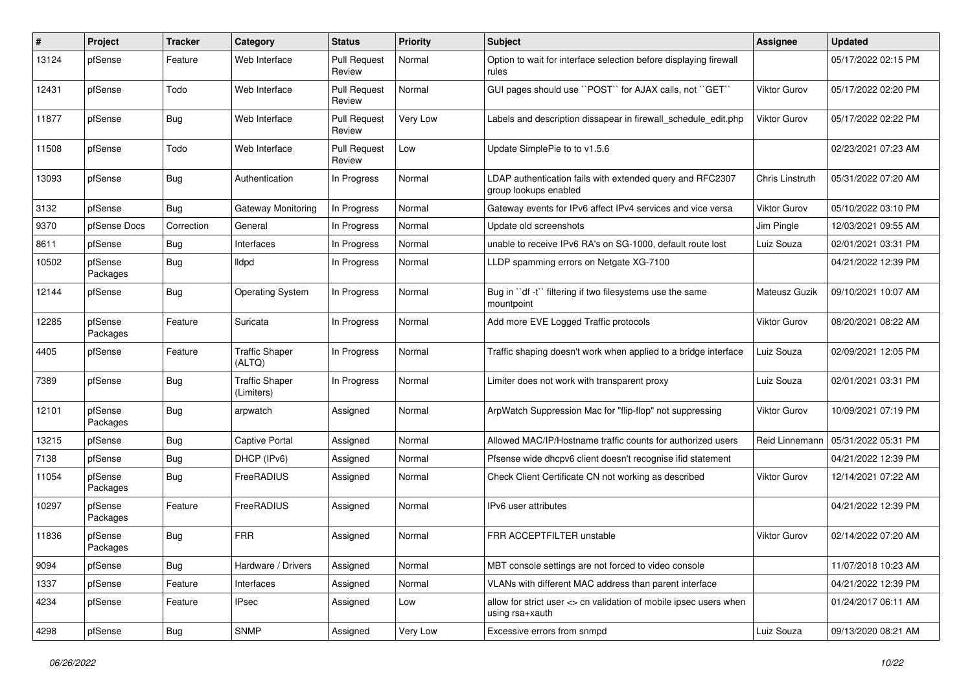| #     | Project             | Tracker    | Category                            | <b>Status</b>                 | <b>Priority</b> | <b>Subject</b>                                                                       | <b>Assignee</b>     | <b>Updated</b>      |
|-------|---------------------|------------|-------------------------------------|-------------------------------|-----------------|--------------------------------------------------------------------------------------|---------------------|---------------------|
| 13124 | pfSense             | Feature    | Web Interface                       | <b>Pull Request</b><br>Review | Normal          | Option to wait for interface selection before displaying firewall<br>rules           |                     | 05/17/2022 02:15 PM |
| 12431 | pfSense             | Todo       | Web Interface                       | <b>Pull Request</b><br>Review | Normal          | GUI pages should use "POST" for AJAX calls, not "GET"                                | Viktor Gurov        | 05/17/2022 02:20 PM |
| 11877 | pfSense             | <b>Bug</b> | Web Interface                       | <b>Pull Request</b><br>Review | Very Low        | Labels and description dissapear in firewall schedule edit.php                       | Viktor Gurov        | 05/17/2022 02:22 PM |
| 11508 | pfSense             | Todo       | Web Interface                       | <b>Pull Request</b><br>Review | Low             | Update SimplePie to to v1.5.6                                                        |                     | 02/23/2021 07:23 AM |
| 13093 | pfSense             | <b>Bug</b> | Authentication                      | In Progress                   | Normal          | LDAP authentication fails with extended query and RFC2307<br>group lookups enabled   | Chris Linstruth     | 05/31/2022 07:20 AM |
| 3132  | pfSense             | <b>Bug</b> | Gateway Monitoring                  | In Progress                   | Normal          | Gateway events for IPv6 affect IPv4 services and vice versa                          | <b>Viktor Gurov</b> | 05/10/2022 03:10 PM |
| 9370  | pfSense Docs        | Correction | General                             | In Progress                   | Normal          | Update old screenshots                                                               | Jim Pingle          | 12/03/2021 09:55 AM |
| 8611  | pfSense             | <b>Bug</b> | Interfaces                          | In Progress                   | Normal          | unable to receive IPv6 RA's on SG-1000, default route lost                           | Luiz Souza          | 02/01/2021 03:31 PM |
| 10502 | pfSense<br>Packages | <b>Bug</b> | lldpd                               | In Progress                   | Normal          | LLDP spamming errors on Netgate XG-7100                                              |                     | 04/21/2022 12:39 PM |
| 12144 | pfSense             | <b>Bug</b> | <b>Operating System</b>             | In Progress                   | Normal          | Bug in "df -t" filtering if two filesystems use the same<br>mountpoint               | Mateusz Guzik       | 09/10/2021 10:07 AM |
| 12285 | pfSense<br>Packages | Feature    | Suricata                            | In Progress                   | Normal          | Add more EVE Logged Traffic protocols                                                | <b>Viktor Gurov</b> | 08/20/2021 08:22 AM |
| 4405  | pfSense             | Feature    | <b>Traffic Shaper</b><br>(ALTQ)     | In Progress                   | Normal          | Traffic shaping doesn't work when applied to a bridge interface                      | Luiz Souza          | 02/09/2021 12:05 PM |
| 7389  | pfSense             | <b>Bug</b> | <b>Traffic Shaper</b><br>(Limiters) | In Progress                   | Normal          | Limiter does not work with transparent proxy                                         | Luiz Souza          | 02/01/2021 03:31 PM |
| 12101 | pfSense<br>Packages | Bug        | arpwatch                            | Assigned                      | Normal          | ArpWatch Suppression Mac for "flip-flop" not suppressing                             | Viktor Gurov        | 10/09/2021 07:19 PM |
| 13215 | pfSense             | Bug        | <b>Captive Portal</b>               | Assigned                      | Normal          | Allowed MAC/IP/Hostname traffic counts for authorized users                          | Reid Linnemann      | 05/31/2022 05:31 PM |
| 7138  | pfSense             | <b>Bug</b> | DHCP (IPv6)                         | Assigned                      | Normal          | Pfsense wide dhcpv6 client doesn't recognise ifid statement                          |                     | 04/21/2022 12:39 PM |
| 11054 | pfSense<br>Packages | <b>Bug</b> | FreeRADIUS                          | Assigned                      | Normal          | Check Client Certificate CN not working as described                                 | Viktor Gurov        | 12/14/2021 07:22 AM |
| 10297 | pfSense<br>Packages | Feature    | FreeRADIUS                          | Assigned                      | Normal          | IPv6 user attributes                                                                 |                     | 04/21/2022 12:39 PM |
| 11836 | pfSense<br>Packages | Bug        | <b>FRR</b>                          | Assigned                      | Normal          | FRR ACCEPTFILTER unstable                                                            | Viktor Gurov        | 02/14/2022 07:20 AM |
| 9094  | pfSense             | <b>Bug</b> | Hardware / Drivers                  | Assigned                      | Normal          | MBT console settings are not forced to video console                                 |                     | 11/07/2018 10:23 AM |
| 1337  | pfSense             | Feature    | Interfaces                          | Assigned                      | Normal          | VLANs with different MAC address than parent interface                               |                     | 04/21/2022 12:39 PM |
| 4234  | pfSense             | Feature    | <b>IPsec</b>                        | Assigned                      | Low             | allow for strict user <> cn validation of mobile ipsec users when<br>using rsa+xauth |                     | 01/24/2017 06:11 AM |
| 4298  | pfSense             | <b>Bug</b> | <b>SNMP</b>                         | Assigned                      | Very Low        | Excessive errors from snmpd                                                          | Luiz Souza          | 09/13/2020 08:21 AM |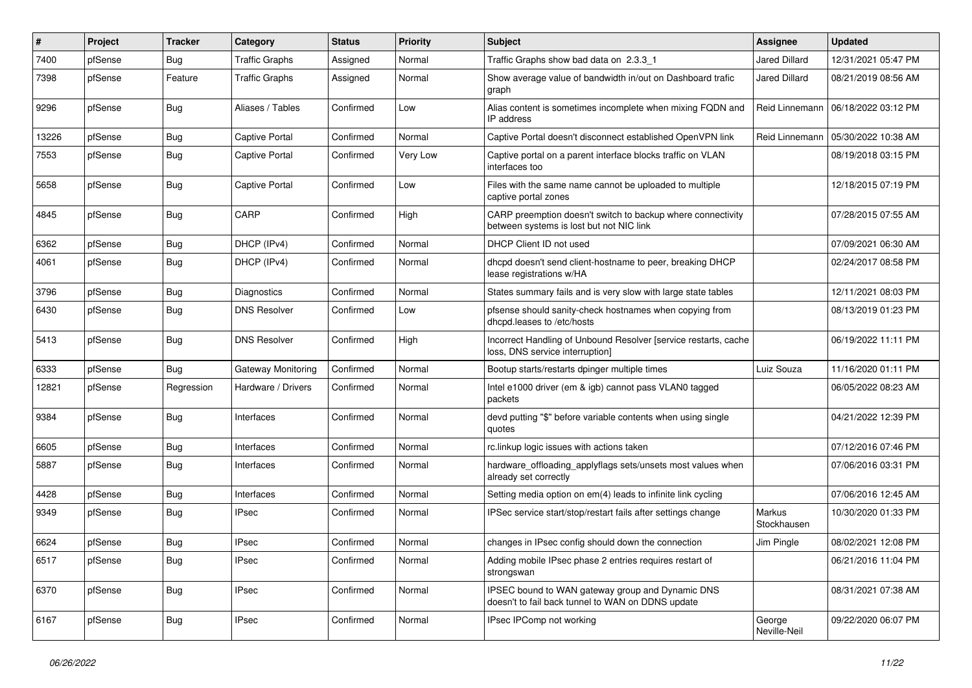| #     | Project | <b>Tracker</b> | Category              | <b>Status</b> | <b>Priority</b> | Subject                                                                                                 | <b>Assignee</b>        | <b>Updated</b>      |
|-------|---------|----------------|-----------------------|---------------|-----------------|---------------------------------------------------------------------------------------------------------|------------------------|---------------------|
| 7400  | pfSense | <b>Bug</b>     | <b>Traffic Graphs</b> | Assigned      | Normal          | Traffic Graphs show bad data on 2.3.3 1                                                                 | Jared Dillard          | 12/31/2021 05:47 PM |
| 7398  | pfSense | Feature        | <b>Traffic Graphs</b> | Assigned      | Normal          | Show average value of bandwidth in/out on Dashboard trafic<br>graph                                     | Jared Dillard          | 08/21/2019 08:56 AM |
| 9296  | pfSense | <b>Bug</b>     | Aliases / Tables      | Confirmed     | Low             | Alias content is sometimes incomplete when mixing FQDN and<br>IP address                                | Reid Linnemann         | 06/18/2022 03:12 PM |
| 13226 | pfSense | Bug            | <b>Captive Portal</b> | Confirmed     | Normal          | Captive Portal doesn't disconnect established OpenVPN link                                              | Reid Linnemann         | 05/30/2022 10:38 AM |
| 7553  | pfSense | <b>Bug</b>     | <b>Captive Portal</b> | Confirmed     | Very Low        | Captive portal on a parent interface blocks traffic on VLAN<br>interfaces too                           |                        | 08/19/2018 03:15 PM |
| 5658  | pfSense | <b>Bug</b>     | <b>Captive Portal</b> | Confirmed     | Low             | Files with the same name cannot be uploaded to multiple<br>captive portal zones                         |                        | 12/18/2015 07:19 PM |
| 4845  | pfSense | Bug            | CARP                  | Confirmed     | High            | CARP preemption doesn't switch to backup where connectivity<br>between systems is lost but not NIC link |                        | 07/28/2015 07:55 AM |
| 6362  | pfSense | <b>Bug</b>     | DHCP (IPv4)           | Confirmed     | Normal          | DHCP Client ID not used                                                                                 |                        | 07/09/2021 06:30 AM |
| 4061  | pfSense | Bug            | DHCP (IPv4)           | Confirmed     | Normal          | dhcpd doesn't send client-hostname to peer, breaking DHCP<br>lease registrations w/HA                   |                        | 02/24/2017 08:58 PM |
| 3796  | pfSense | <b>Bug</b>     | <b>Diagnostics</b>    | Confirmed     | Normal          | States summary fails and is very slow with large state tables                                           |                        | 12/11/2021 08:03 PM |
| 6430  | pfSense | <b>Bug</b>     | <b>DNS Resolver</b>   | Confirmed     | Low             | pfsense should sanity-check hostnames when copying from<br>dhcpd.leases to /etc/hosts                   |                        | 08/13/2019 01:23 PM |
| 5413  | pfSense | <b>Bug</b>     | <b>DNS Resolver</b>   | Confirmed     | High            | Incorrect Handling of Unbound Resolver [service restarts, cache<br>loss, DNS service interruption]      |                        | 06/19/2022 11:11 PM |
| 6333  | pfSense | <b>Bug</b>     | Gateway Monitoring    | Confirmed     | Normal          | Bootup starts/restarts dpinger multiple times                                                           | Luiz Souza             | 11/16/2020 01:11 PM |
| 12821 | pfSense | Regression     | Hardware / Drivers    | Confirmed     | Normal          | Intel e1000 driver (em & igb) cannot pass VLAN0 tagged<br>packets                                       |                        | 06/05/2022 08:23 AM |
| 9384  | pfSense | <b>Bug</b>     | Interfaces            | Confirmed     | Normal          | devd putting "\$" before variable contents when using single<br>quotes                                  |                        | 04/21/2022 12:39 PM |
| 6605  | pfSense | Bug            | Interfaces            | Confirmed     | Normal          | rc.linkup logic issues with actions taken                                                               |                        | 07/12/2016 07:46 PM |
| 5887  | pfSense | <b>Bug</b>     | Interfaces            | Confirmed     | Normal          | hardware_offloading_applyflags sets/unsets most values when<br>already set correctly                    |                        | 07/06/2016 03:31 PM |
| 4428  | pfSense | <b>Bug</b>     | Interfaces            | Confirmed     | Normal          | Setting media option on em(4) leads to infinite link cycling                                            |                        | 07/06/2016 12:45 AM |
| 9349  | pfSense | <b>Bug</b>     | IPsec                 | Confirmed     | Normal          | IPSec service start/stop/restart fails after settings change                                            | Markus<br>Stockhausen  | 10/30/2020 01:33 PM |
| 6624  | pfSense | <b>Bug</b>     | <b>IPsec</b>          | Confirmed     | Normal          | changes in IPsec config should down the connection                                                      | Jim Pingle             | 08/02/2021 12:08 PM |
| 6517  | pfSense | <b>Bug</b>     | <b>IPsec</b>          | Confirmed     | Normal          | Adding mobile IPsec phase 2 entries requires restart of<br>strongswan                                   |                        | 06/21/2016 11:04 PM |
| 6370  | pfSense | <b>Bug</b>     | <b>IPsec</b>          | Confirmed     | Normal          | IPSEC bound to WAN gateway group and Dynamic DNS<br>doesn't to fail back tunnel to WAN on DDNS update   |                        | 08/31/2021 07:38 AM |
| 6167  | pfSense | <b>Bug</b>     | <b>IPsec</b>          | Confirmed     | Normal          | IPsec IPComp not working                                                                                | George<br>Neville-Neil | 09/22/2020 06:07 PM |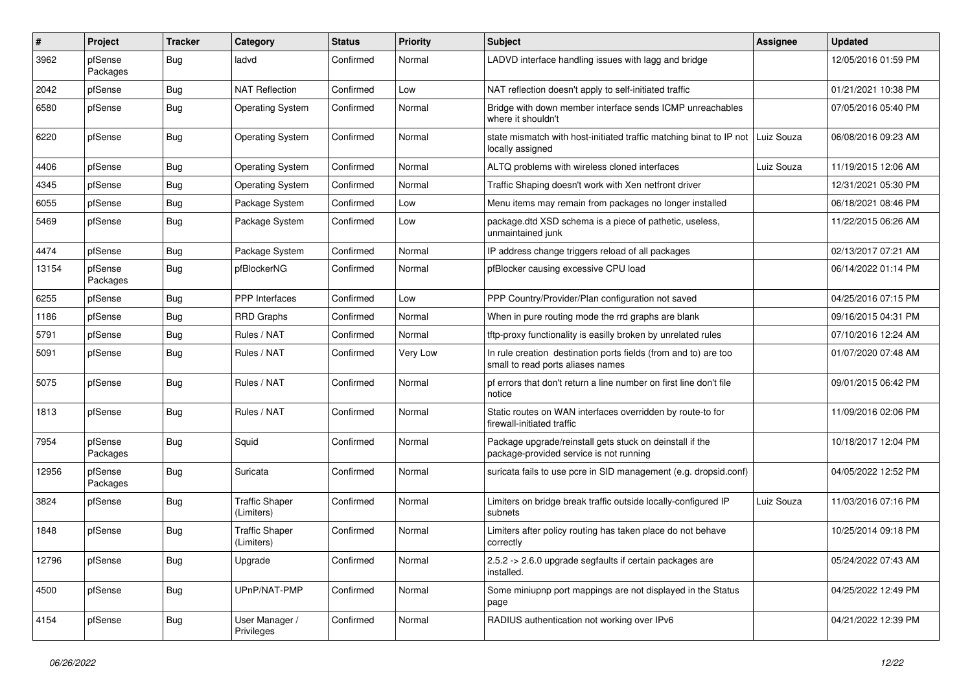| $\sharp$ | Project             | <b>Tracker</b> | Category                            | <b>Status</b> | <b>Priority</b> | <b>Subject</b>                                                                                       | <b>Assignee</b> | <b>Updated</b>      |
|----------|---------------------|----------------|-------------------------------------|---------------|-----------------|------------------------------------------------------------------------------------------------------|-----------------|---------------------|
| 3962     | pfSense<br>Packages | <b>Bug</b>     | ladvd                               | Confirmed     | Normal          | LADVD interface handling issues with lagg and bridge                                                 |                 | 12/05/2016 01:59 PM |
| 2042     | pfSense             | <b>Bug</b>     | <b>NAT Reflection</b>               | Confirmed     | Low             | NAT reflection doesn't apply to self-initiated traffic                                               |                 | 01/21/2021 10:38 PM |
| 6580     | pfSense             | <b>Bug</b>     | <b>Operating System</b>             | Confirmed     | Normal          | Bridge with down member interface sends ICMP unreachables<br>where it shouldn't                      |                 | 07/05/2016 05:40 PM |
| 6220     | pfSense             | <b>Bug</b>     | <b>Operating System</b>             | Confirmed     | Normal          | state mismatch with host-initiated traffic matching binat to IP not<br>locally assigned              | Luiz Souza      | 06/08/2016 09:23 AM |
| 4406     | pfSense             | <b>Bug</b>     | <b>Operating System</b>             | Confirmed     | Normal          | ALTQ problems with wireless cloned interfaces                                                        | Luiz Souza      | 11/19/2015 12:06 AM |
| 4345     | pfSense             | <b>Bug</b>     | <b>Operating System</b>             | Confirmed     | Normal          | Traffic Shaping doesn't work with Xen netfront driver                                                |                 | 12/31/2021 05:30 PM |
| 6055     | pfSense             | <b>Bug</b>     | Package System                      | Confirmed     | Low             | Menu items may remain from packages no longer installed                                              |                 | 06/18/2021 08:46 PM |
| 5469     | pfSense             | <b>Bug</b>     | Package System                      | Confirmed     | Low             | package.dtd XSD schema is a piece of pathetic, useless,<br>unmaintained junk                         |                 | 11/22/2015 06:26 AM |
| 4474     | pfSense             | <b>Bug</b>     | Package System                      | Confirmed     | Normal          | IP address change triggers reload of all packages                                                    |                 | 02/13/2017 07:21 AM |
| 13154    | pfSense<br>Packages | Bug            | pfBlockerNG                         | Confirmed     | Normal          | pfBlocker causing excessive CPU load                                                                 |                 | 06/14/2022 01:14 PM |
| 6255     | pfSense             | <b>Bug</b>     | PPP Interfaces                      | Confirmed     | Low             | PPP Country/Provider/Plan configuration not saved                                                    |                 | 04/25/2016 07:15 PM |
| 1186     | pfSense             | <b>Bug</b>     | <b>RRD Graphs</b>                   | Confirmed     | Normal          | When in pure routing mode the rrd graphs are blank                                                   |                 | 09/16/2015 04:31 PM |
| 5791     | pfSense             | <b>Bug</b>     | Rules / NAT                         | Confirmed     | Normal          | tftp-proxy functionality is easilly broken by unrelated rules                                        |                 | 07/10/2016 12:24 AM |
| 5091     | pfSense             | <b>Bug</b>     | Rules / NAT                         | Confirmed     | Very Low        | In rule creation destination ports fields (from and to) are too<br>small to read ports aliases names |                 | 01/07/2020 07:48 AM |
| 5075     | pfSense             | <b>Bug</b>     | Rules / NAT                         | Confirmed     | Normal          | pf errors that don't return a line number on first line don't file<br>notice                         |                 | 09/01/2015 06:42 PM |
| 1813     | pfSense             | <b>Bug</b>     | Rules / NAT                         | Confirmed     | Normal          | Static routes on WAN interfaces overridden by route-to for<br>firewall-initiated traffic             |                 | 11/09/2016 02:06 PM |
| 7954     | pfSense<br>Packages | <b>Bug</b>     | Squid                               | Confirmed     | Normal          | Package upgrade/reinstall gets stuck on deinstall if the<br>package-provided service is not running  |                 | 10/18/2017 12:04 PM |
| 12956    | pfSense<br>Packages | <b>Bug</b>     | Suricata                            | Confirmed     | Normal          | suricata fails to use pcre in SID management (e.g. dropsid.conf)                                     |                 | 04/05/2022 12:52 PM |
| 3824     | pfSense             | <b>Bug</b>     | <b>Traffic Shaper</b><br>(Limiters) | Confirmed     | Normal          | Limiters on bridge break traffic outside locally-configured IP<br>subnets                            | Luiz Souza      | 11/03/2016 07:16 PM |
| 1848     | pfSense             | <b>Bug</b>     | <b>Traffic Shaper</b><br>(Limiters) | Confirmed     | Normal          | Limiters after policy routing has taken place do not behave<br>correctly                             |                 | 10/25/2014 09:18 PM |
| 12796    | pfSense             | <b>Bug</b>     | Upgrade                             | Confirmed     | Normal          | 2.5.2 -> 2.6.0 upgrade segfaults if certain packages are<br>installed.                               |                 | 05/24/2022 07:43 AM |
| 4500     | pfSense             | <b>Bug</b>     | UPnP/NAT-PMP                        | Confirmed     | Normal          | Some miniupnp port mappings are not displayed in the Status<br>page                                  |                 | 04/25/2022 12:49 PM |
| 4154     | pfSense             | <b>Bug</b>     | User Manager /<br>Privileges        | Confirmed     | Normal          | RADIUS authentication not working over IPv6                                                          |                 | 04/21/2022 12:39 PM |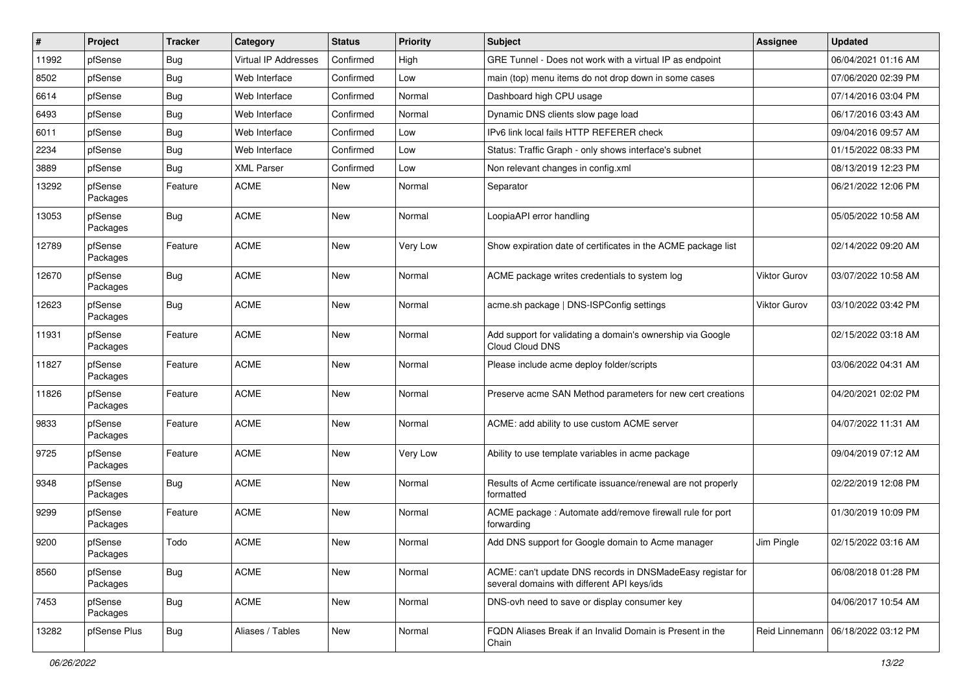| $\sharp$ | Project             | <b>Tracker</b> | Category             | <b>Status</b> | <b>Priority</b> | Subject                                                                                                   | <b>Assignee</b>     | <b>Updated</b>      |
|----------|---------------------|----------------|----------------------|---------------|-----------------|-----------------------------------------------------------------------------------------------------------|---------------------|---------------------|
| 11992    | pfSense             | Bug            | Virtual IP Addresses | Confirmed     | High            | GRE Tunnel - Does not work with a virtual IP as endpoint                                                  |                     | 06/04/2021 01:16 AM |
| 8502     | pfSense             | <b>Bug</b>     | Web Interface        | Confirmed     | Low             | main (top) menu items do not drop down in some cases                                                      |                     | 07/06/2020 02:39 PM |
| 6614     | pfSense             | <b>Bug</b>     | Web Interface        | Confirmed     | Normal          | Dashboard high CPU usage                                                                                  |                     | 07/14/2016 03:04 PM |
| 6493     | pfSense             | <b>Bug</b>     | Web Interface        | Confirmed     | Normal          | Dynamic DNS clients slow page load                                                                        |                     | 06/17/2016 03:43 AM |
| 6011     | pfSense             | <b>Bug</b>     | Web Interface        | Confirmed     | Low             | IPv6 link local fails HTTP REFERER check                                                                  |                     | 09/04/2016 09:57 AM |
| 2234     | pfSense             | <b>Bug</b>     | Web Interface        | Confirmed     | Low             | Status: Traffic Graph - only shows interface's subnet                                                     |                     | 01/15/2022 08:33 PM |
| 3889     | pfSense             | <b>Bug</b>     | <b>XML Parser</b>    | Confirmed     | Low             | Non relevant changes in config.xml                                                                        |                     | 08/13/2019 12:23 PM |
| 13292    | pfSense<br>Packages | Feature        | <b>ACME</b>          | <b>New</b>    | Normal          | Separator                                                                                                 |                     | 06/21/2022 12:06 PM |
| 13053    | pfSense<br>Packages | Bug            | <b>ACME</b>          | <b>New</b>    | Normal          | LoopiaAPI error handling                                                                                  |                     | 05/05/2022 10:58 AM |
| 12789    | pfSense<br>Packages | Feature        | <b>ACME</b>          | <b>New</b>    | Very Low        | Show expiration date of certificates in the ACME package list                                             |                     | 02/14/2022 09:20 AM |
| 12670    | pfSense<br>Packages | Bug            | <b>ACME</b>          | <b>New</b>    | Normal          | ACME package writes credentials to system log                                                             | <b>Viktor Gurov</b> | 03/07/2022 10:58 AM |
| 12623    | pfSense<br>Packages | Bug            | <b>ACME</b>          | <b>New</b>    | Normal          | acme.sh package   DNS-ISPConfig settings                                                                  | Viktor Gurov        | 03/10/2022 03:42 PM |
| 11931    | pfSense<br>Packages | Feature        | <b>ACME</b>          | New           | Normal          | Add support for validating a domain's ownership via Google<br>Cloud Cloud DNS                             |                     | 02/15/2022 03:18 AM |
| 11827    | pfSense<br>Packages | Feature        | <b>ACME</b>          | New           | Normal          | Please include acme deploy folder/scripts                                                                 |                     | 03/06/2022 04:31 AM |
| 11826    | pfSense<br>Packages | Feature        | <b>ACME</b>          | <b>New</b>    | Normal          | Preserve acme SAN Method parameters for new cert creations                                                |                     | 04/20/2021 02:02 PM |
| 9833     | pfSense<br>Packages | Feature        | <b>ACME</b>          | <b>New</b>    | Normal          | ACME: add ability to use custom ACME server                                                               |                     | 04/07/2022 11:31 AM |
| 9725     | pfSense<br>Packages | Feature        | <b>ACME</b>          | <b>New</b>    | Very Low        | Ability to use template variables in acme package                                                         |                     | 09/04/2019 07:12 AM |
| 9348     | pfSense<br>Packages | Bug            | <b>ACME</b>          | New           | Normal          | Results of Acme certificate issuance/renewal are not properly<br>formatted                                |                     | 02/22/2019 12:08 PM |
| 9299     | pfSense<br>Packages | Feature        | <b>ACME</b>          | <b>New</b>    | Normal          | ACME package : Automate add/remove firewall rule for port<br>forwarding                                   |                     | 01/30/2019 10:09 PM |
| 9200     | pfSense<br>Packages | Todo           | <b>ACME</b>          | New           | Normal          | Add DNS support for Google domain to Acme manager                                                         | Jim Pingle          | 02/15/2022 03:16 AM |
| 8560     | pfSense<br>Packages | <b>Bug</b>     | <b>ACME</b>          | New           | Normal          | ACME: can't update DNS records in DNSMadeEasy registar for<br>several domains with different API keys/ids |                     | 06/08/2018 01:28 PM |
| 7453     | pfSense<br>Packages | <b>Bug</b>     | <b>ACME</b>          | <b>New</b>    | Normal          | DNS-ovh need to save or display consumer key                                                              |                     | 04/06/2017 10:54 AM |
| 13282    | pfSense Plus        | <b>Bug</b>     | Aliases / Tables     | <b>New</b>    | Normal          | FQDN Aliases Break if an Invalid Domain is Present in the<br>Chain                                        | Reid Linnemann      | 06/18/2022 03:12 PM |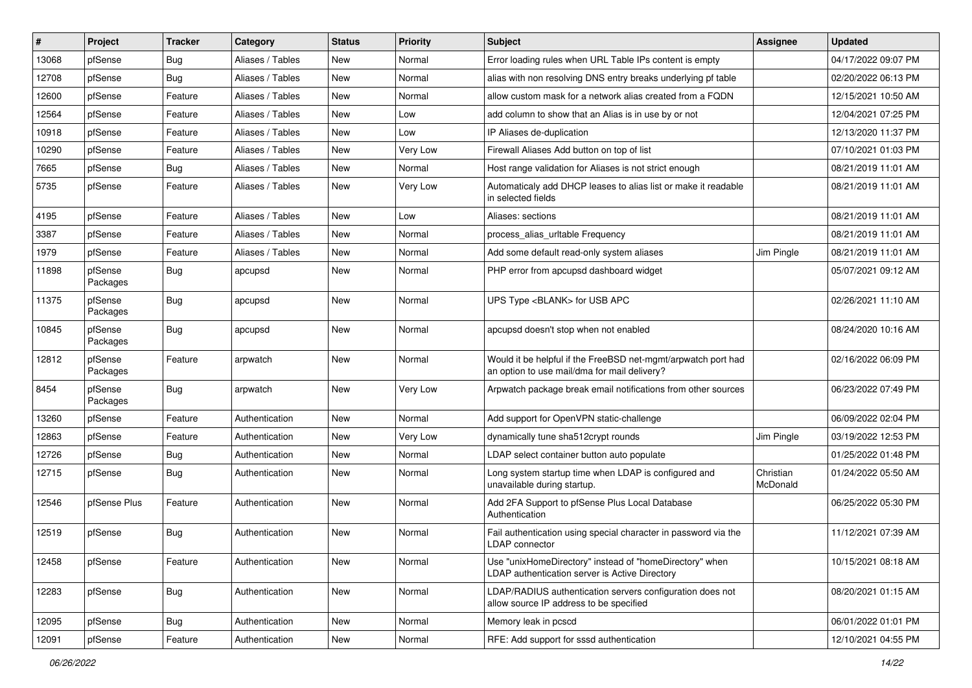| ∦     | Project             | <b>Tracker</b> | Category         | <b>Status</b> | <b>Priority</b> | Subject                                                                                                       | <b>Assignee</b>       | <b>Updated</b>      |
|-------|---------------------|----------------|------------------|---------------|-----------------|---------------------------------------------------------------------------------------------------------------|-----------------------|---------------------|
| 13068 | pfSense             | <b>Bug</b>     | Aliases / Tables | New           | Normal          | Error loading rules when URL Table IPs content is empty                                                       |                       | 04/17/2022 09:07 PM |
| 12708 | pfSense             | Bug            | Aliases / Tables | New           | Normal          | alias with non resolving DNS entry breaks underlying pf table                                                 |                       | 02/20/2022 06:13 PM |
| 12600 | pfSense             | Feature        | Aliases / Tables | <b>New</b>    | Normal          | allow custom mask for a network alias created from a FQDN                                                     |                       | 12/15/2021 10:50 AM |
| 12564 | pfSense             | Feature        | Aliases / Tables | New           | Low             | add column to show that an Alias is in use by or not                                                          |                       | 12/04/2021 07:25 PM |
| 10918 | pfSense             | Feature        | Aliases / Tables | <b>New</b>    | Low             | IP Aliases de-duplication                                                                                     |                       | 12/13/2020 11:37 PM |
| 10290 | pfSense             | Feature        | Aliases / Tables | New           | Very Low        | Firewall Aliases Add button on top of list                                                                    |                       | 07/10/2021 01:03 PM |
| 7665  | pfSense             | <b>Bug</b>     | Aliases / Tables | New           | Normal          | Host range validation for Aliases is not strict enough                                                        |                       | 08/21/2019 11:01 AM |
| 5735  | pfSense             | Feature        | Aliases / Tables | New           | Very Low        | Automaticaly add DHCP leases to alias list or make it readable<br>in selected fields                          |                       | 08/21/2019 11:01 AM |
| 4195  | pfSense             | Feature        | Aliases / Tables | New           | Low             | Aliases: sections                                                                                             |                       | 08/21/2019 11:01 AM |
| 3387  | pfSense             | Feature        | Aliases / Tables | <b>New</b>    | Normal          | process_alias_urltable Frequency                                                                              |                       | 08/21/2019 11:01 AM |
| 1979  | pfSense             | Feature        | Aliases / Tables | New           | Normal          | Add some default read-only system aliases                                                                     | Jim Pingle            | 08/21/2019 11:01 AM |
| 11898 | pfSense<br>Packages | <b>Bug</b>     | apcupsd          | New           | Normal          | PHP error from apcupsd dashboard widget                                                                       |                       | 05/07/2021 09:12 AM |
| 11375 | pfSense<br>Packages | <b>Bug</b>     | apcupsd          | New           | Normal          | UPS Type <blank> for USB APC</blank>                                                                          |                       | 02/26/2021 11:10 AM |
| 10845 | pfSense<br>Packages | <b>Bug</b>     | apcupsd          | New           | Normal          | apcupsd doesn't stop when not enabled                                                                         |                       | 08/24/2020 10:16 AM |
| 12812 | pfSense<br>Packages | Feature        | arpwatch         | New           | Normal          | Would it be helpful if the FreeBSD net-mgmt/arpwatch port had<br>an option to use mail/dma for mail delivery? |                       | 02/16/2022 06:09 PM |
| 8454  | pfSense<br>Packages | Bug            | arpwatch         | New           | Very Low        | Arpwatch package break email notifications from other sources                                                 |                       | 06/23/2022 07:49 PM |
| 13260 | pfSense             | Feature        | Authentication   | New           | Normal          | Add support for OpenVPN static-challenge                                                                      |                       | 06/09/2022 02:04 PM |
| 12863 | pfSense             | Feature        | Authentication   | New           | Very Low        | dynamically tune sha512crypt rounds                                                                           | Jim Pingle            | 03/19/2022 12:53 PM |
| 12726 | pfSense             | <b>Bug</b>     | Authentication   | New           | Normal          | LDAP select container button auto populate                                                                    |                       | 01/25/2022 01:48 PM |
| 12715 | pfSense             | <b>Bug</b>     | Authentication   | New           | Normal          | Long system startup time when LDAP is configured and<br>unavailable during startup.                           | Christian<br>McDonald | 01/24/2022 05:50 AM |
| 12546 | pfSense Plus        | Feature        | Authentication   | <b>New</b>    | Normal          | Add 2FA Support to pfSense Plus Local Database<br>Authentication                                              |                       | 06/25/2022 05:30 PM |
| 12519 | pfSense             | <b>Bug</b>     | Authentication   | <b>New</b>    | Normal          | Fail authentication using special character in password via the<br>LDAP connector                             |                       | 11/12/2021 07:39 AM |
| 12458 | pfSense             | Feature        | Authentication   | New           | Normal          | Use "unixHomeDirectory" instead of "homeDirectory" when<br>LDAP authentication server is Active Directory     |                       | 10/15/2021 08:18 AM |
| 12283 | pfSense             | Bug            | Authentication   | New           | Normal          | LDAP/RADIUS authentication servers configuration does not<br>allow source IP address to be specified          |                       | 08/20/2021 01:15 AM |
| 12095 | pfSense             | <b>Bug</b>     | Authentication   | New           | Normal          | Memory leak in pcscd                                                                                          |                       | 06/01/2022 01:01 PM |
| 12091 | pfSense             | Feature        | Authentication   | New           | Normal          | RFE: Add support for sssd authentication                                                                      |                       | 12/10/2021 04:55 PM |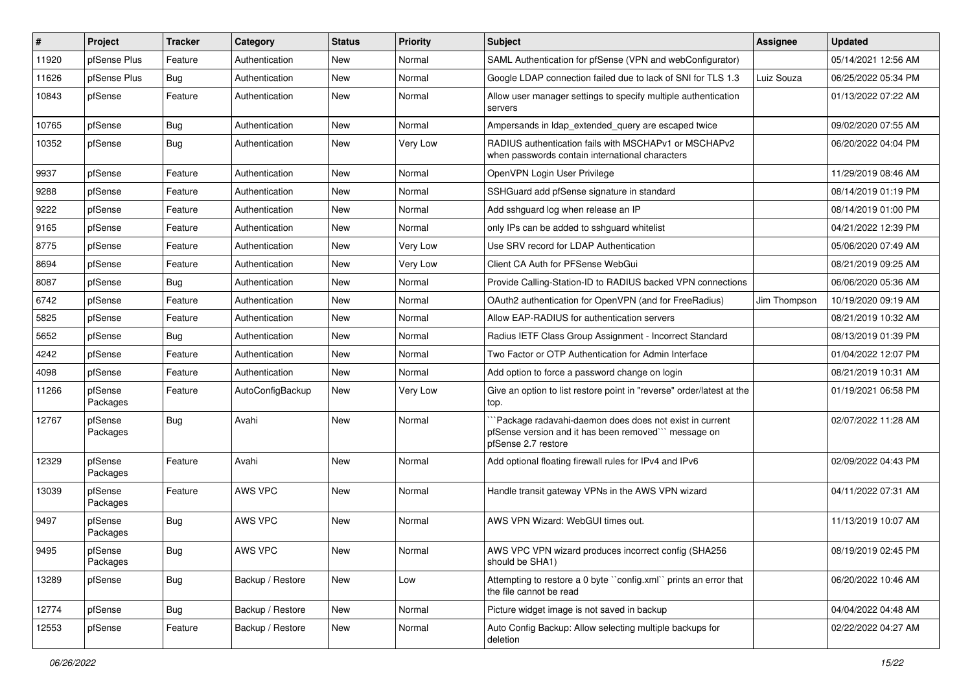| $\vert$ # | Project             | <b>Tracker</b> | Category         | <b>Status</b> | <b>Priority</b> | Subject                                                                                                                              | <b>Assignee</b> | <b>Updated</b>      |
|-----------|---------------------|----------------|------------------|---------------|-----------------|--------------------------------------------------------------------------------------------------------------------------------------|-----------------|---------------------|
| 11920     | pfSense Plus        | Feature        | Authentication   | New           | Normal          | SAML Authentication for pfSense (VPN and webConfigurator)                                                                            |                 | 05/14/2021 12:56 AM |
| 11626     | pfSense Plus        | <b>Bug</b>     | Authentication   | <b>New</b>    | Normal          | Google LDAP connection failed due to lack of SNI for TLS 1.3                                                                         | Luiz Souza      | 06/25/2022 05:34 PM |
| 10843     | pfSense             | Feature        | Authentication   | New           | Normal          | Allow user manager settings to specify multiple authentication<br>servers                                                            |                 | 01/13/2022 07:22 AM |
| 10765     | pfSense             | Bug            | Authentication   | <b>New</b>    | Normal          | Ampersands in Idap_extended_query are escaped twice                                                                                  |                 | 09/02/2020 07:55 AM |
| 10352     | pfSense             | <b>Bug</b>     | Authentication   | New           | Very Low        | RADIUS authentication fails with MSCHAPv1 or MSCHAPv2<br>when passwords contain international characters                             |                 | 06/20/2022 04:04 PM |
| 9937      | pfSense             | Feature        | Authentication   | <b>New</b>    | Normal          | OpenVPN Login User Privilege                                                                                                         |                 | 11/29/2019 08:46 AM |
| 9288      | pfSense             | Feature        | Authentication   | New           | Normal          | SSHGuard add pfSense signature in standard                                                                                           |                 | 08/14/2019 01:19 PM |
| 9222      | pfSense             | Feature        | Authentication   | <b>New</b>    | Normal          | Add sshguard log when release an IP                                                                                                  |                 | 08/14/2019 01:00 PM |
| 9165      | pfSense             | Feature        | Authentication   | New           | Normal          | only IPs can be added to sshguard whitelist                                                                                          |                 | 04/21/2022 12:39 PM |
| 8775      | pfSense             | Feature        | Authentication   | <b>New</b>    | Very Low        | Use SRV record for LDAP Authentication                                                                                               |                 | 05/06/2020 07:49 AM |
| 8694      | pfSense             | Feature        | Authentication   | <b>New</b>    | Very Low        | Client CA Auth for PFSense WebGui                                                                                                    |                 | 08/21/2019 09:25 AM |
| 8087      | pfSense             | <b>Bug</b>     | Authentication   | <b>New</b>    | Normal          | Provide Calling-Station-ID to RADIUS backed VPN connections                                                                          |                 | 06/06/2020 05:36 AM |
| 6742      | pfSense             | Feature        | Authentication   | New           | Normal          | OAuth2 authentication for OpenVPN (and for FreeRadius)                                                                               | Jim Thompson    | 10/19/2020 09:19 AM |
| 5825      | pfSense             | Feature        | Authentication   | <b>New</b>    | Normal          | Allow EAP-RADIUS for authentication servers                                                                                          |                 | 08/21/2019 10:32 AM |
| 5652      | pfSense             | <b>Bug</b>     | Authentication   | <b>New</b>    | Normal          | Radius IETF Class Group Assignment - Incorrect Standard                                                                              |                 | 08/13/2019 01:39 PM |
| 4242      | pfSense             | Feature        | Authentication   | <b>New</b>    | Normal          | Two Factor or OTP Authentication for Admin Interface                                                                                 |                 | 01/04/2022 12:07 PM |
| 4098      | pfSense             | Feature        | Authentication   | New           | Normal          | Add option to force a password change on login                                                                                       |                 | 08/21/2019 10:31 AM |
| 11266     | pfSense<br>Packages | Feature        | AutoConfigBackup | New           | Very Low        | Give an option to list restore point in "reverse" order/latest at the<br>top.                                                        |                 | 01/19/2021 06:58 PM |
| 12767     | pfSense<br>Packages | <b>Bug</b>     | Avahi            | New           | Normal          | Package radavahi-daemon does does not exist in current<br>pfSense version and it has been removed" message on<br>pfSense 2.7 restore |                 | 02/07/2022 11:28 AM |
| 12329     | pfSense<br>Packages | Feature        | Avahi            | New           | Normal          | Add optional floating firewall rules for IPv4 and IPv6                                                                               |                 | 02/09/2022 04:43 PM |
| 13039     | pfSense<br>Packages | Feature        | <b>AWS VPC</b>   | New           | Normal          | Handle transit gateway VPNs in the AWS VPN wizard                                                                                    |                 | 04/11/2022 07:31 AM |
| 9497      | pfSense<br>Packages | <b>Bug</b>     | AWS VPC          | New           | Normal          | AWS VPN Wizard: WebGUI times out.                                                                                                    |                 | 11/13/2019 10:07 AM |
| 9495      | pfSense<br>Packages | <b>Bug</b>     | AWS VPC          | New           | Normal          | AWS VPC VPN wizard produces incorrect config (SHA256<br>should be SHA1)                                                              |                 | 08/19/2019 02:45 PM |
| 13289     | pfSense             | Bug            | Backup / Restore | New           | Low             | Attempting to restore a 0 byte "config.xml" prints an error that<br>the file cannot be read                                          |                 | 06/20/2022 10:46 AM |
| 12774     | pfSense             | <b>Bug</b>     | Backup / Restore | New           | Normal          | Picture widget image is not saved in backup                                                                                          |                 | 04/04/2022 04:48 AM |
| 12553     | pfSense             | Feature        | Backup / Restore | New           | Normal          | Auto Config Backup: Allow selecting multiple backups for<br>deletion                                                                 |                 | 02/22/2022 04:27 AM |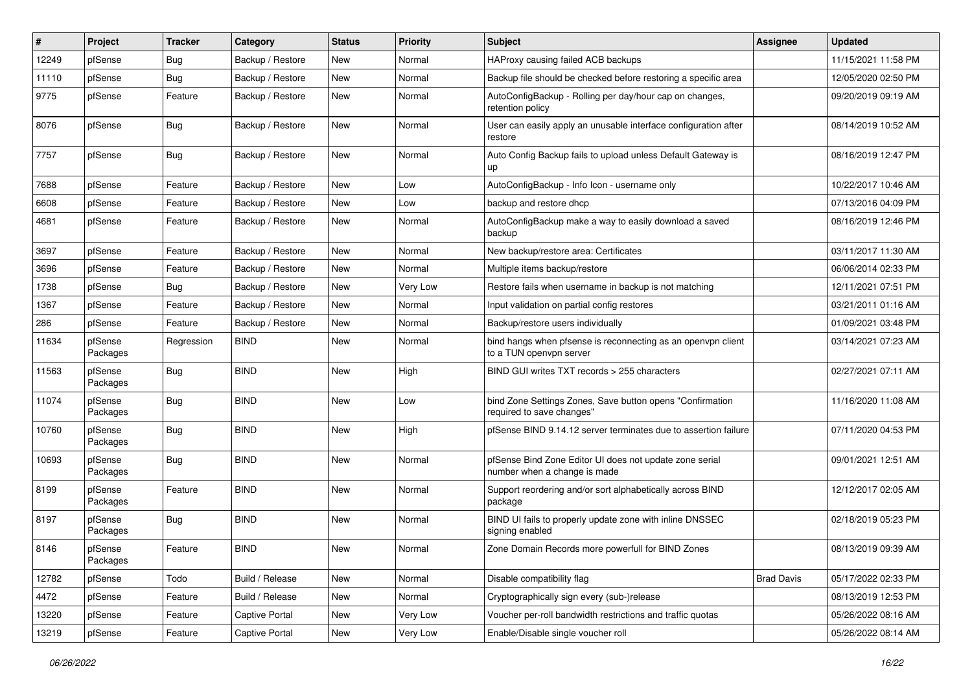| #     | Project             | <b>Tracker</b> | Category         | <b>Status</b> | <b>Priority</b> | Subject                                                                                 | <b>Assignee</b>   | <b>Updated</b>      |
|-------|---------------------|----------------|------------------|---------------|-----------------|-----------------------------------------------------------------------------------------|-------------------|---------------------|
| 12249 | pfSense             | <b>Bug</b>     | Backup / Restore | <b>New</b>    | Normal          | HAProxy causing failed ACB backups                                                      |                   | 11/15/2021 11:58 PM |
| 11110 | pfSense             | <b>Bug</b>     | Backup / Restore | New           | Normal          | Backup file should be checked before restoring a specific area                          |                   | 12/05/2020 02:50 PM |
| 9775  | pfSense             | Feature        | Backup / Restore | <b>New</b>    | Normal          | AutoConfigBackup - Rolling per day/hour cap on changes,<br>retention policy             |                   | 09/20/2019 09:19 AM |
| 8076  | pfSense             | <b>Bug</b>     | Backup / Restore | <b>New</b>    | Normal          | User can easily apply an unusable interface configuration after<br>restore              |                   | 08/14/2019 10:52 AM |
| 7757  | pfSense             | <b>Bug</b>     | Backup / Restore | <b>New</b>    | Normal          | Auto Config Backup fails to upload unless Default Gateway is<br>up                      |                   | 08/16/2019 12:47 PM |
| 7688  | pfSense             | Feature        | Backup / Restore | New           | Low             | AutoConfigBackup - Info Icon - username only                                            |                   | 10/22/2017 10:46 AM |
| 6608  | pfSense             | Feature        | Backup / Restore | <b>New</b>    | Low             | backup and restore dhcp                                                                 |                   | 07/13/2016 04:09 PM |
| 4681  | pfSense             | Feature        | Backup / Restore | New           | Normal          | AutoConfigBackup make a way to easily download a saved<br>backup                        |                   | 08/16/2019 12:46 PM |
| 3697  | pfSense             | Feature        | Backup / Restore | <b>New</b>    | Normal          | New backup/restore area: Certificates                                                   |                   | 03/11/2017 11:30 AM |
| 3696  | pfSense             | Feature        | Backup / Restore | <b>New</b>    | Normal          | Multiple items backup/restore                                                           |                   | 06/06/2014 02:33 PM |
| 1738  | pfSense             | <b>Bug</b>     | Backup / Restore | <b>New</b>    | Very Low        | Restore fails when username in backup is not matching                                   |                   | 12/11/2021 07:51 PM |
| 1367  | pfSense             | Feature        | Backup / Restore | <b>New</b>    | Normal          | Input validation on partial config restores                                             |                   | 03/21/2011 01:16 AM |
| 286   | pfSense             | Feature        | Backup / Restore | New           | Normal          | Backup/restore users individually                                                       |                   | 01/09/2021 03:48 PM |
| 11634 | pfSense<br>Packages | Regression     | <b>BIND</b>      | New           | Normal          | bind hangs when pfsense is reconnecting as an openypn client<br>to a TUN openvpn server |                   | 03/14/2021 07:23 AM |
| 11563 | pfSense<br>Packages | <b>Bug</b>     | <b>BIND</b>      | New           | High            | BIND GUI writes TXT records > 255 characters                                            |                   | 02/27/2021 07:11 AM |
| 11074 | pfSense<br>Packages | Bug            | <b>BIND</b>      | <b>New</b>    | Low             | bind Zone Settings Zones, Save button opens "Confirmation<br>required to save changes"  |                   | 11/16/2020 11:08 AM |
| 10760 | pfSense<br>Packages | <b>Bug</b>     | <b>BIND</b>      | <b>New</b>    | High            | pfSense BIND 9.14.12 server terminates due to assertion failure                         |                   | 07/11/2020 04:53 PM |
| 10693 | pfSense<br>Packages | <b>Bug</b>     | <b>BIND</b>      | New           | Normal          | pfSense Bind Zone Editor UI does not update zone serial<br>number when a change is made |                   | 09/01/2021 12:51 AM |
| 8199  | pfSense<br>Packages | Feature        | <b>BIND</b>      | New           | Normal          | Support reordering and/or sort alphabetically across BIND<br>package                    |                   | 12/12/2017 02:05 AM |
| 8197  | pfSense<br>Packages | Bug            | <b>BIND</b>      | New           | Normal          | BIND UI fails to properly update zone with inline DNSSEC<br>signing enabled             |                   | 02/18/2019 05:23 PM |
| 8146  | pfSense<br>Packages | Feature        | <b>BIND</b>      | New           | Normal          | Zone Domain Records more powerfull for BIND Zones                                       |                   | 08/13/2019 09:39 AM |
| 12782 | pfSense             | Todo           | Build / Release  | New           | Normal          | Disable compatibility flag                                                              | <b>Brad Davis</b> | 05/17/2022 02:33 PM |
| 4472  | pfSense             | Feature        | Build / Release  | New           | Normal          | Cryptographically sign every (sub-)release                                              |                   | 08/13/2019 12:53 PM |
| 13220 | pfSense             | Feature        | Captive Portal   | New           | Very Low        | Voucher per-roll bandwidth restrictions and traffic quotas                              |                   | 05/26/2022 08:16 AM |
| 13219 | pfSense             | Feature        | Captive Portal   | New           | Very Low        | Enable/Disable single voucher roll                                                      |                   | 05/26/2022 08:14 AM |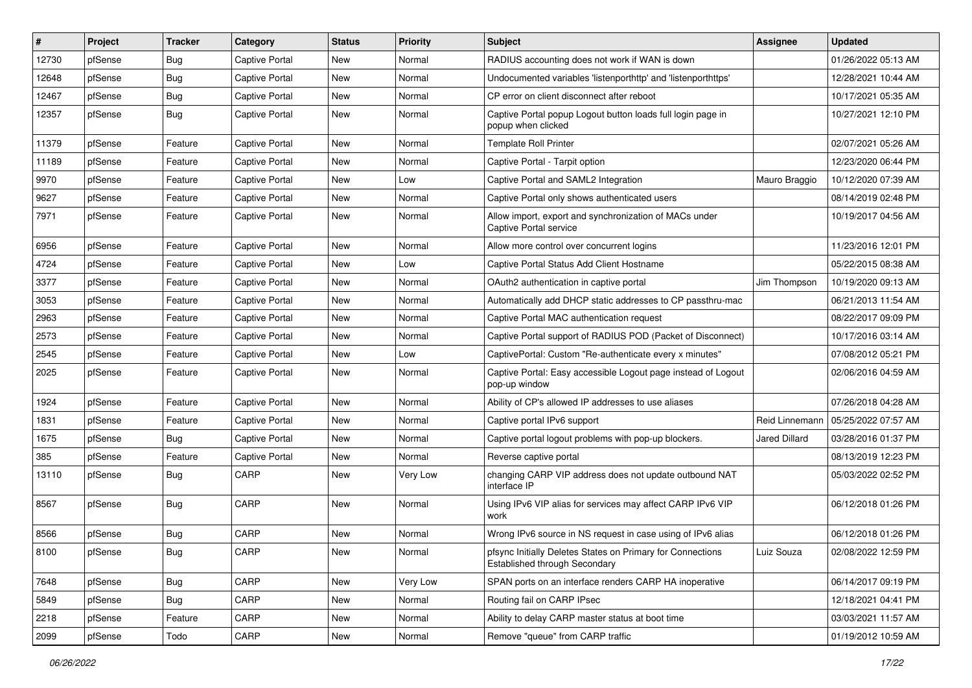| #     | Project | <b>Tracker</b> | Category              | <b>Status</b> | <b>Priority</b> | Subject                                                                                            | <b>Assignee</b> | <b>Updated</b>      |
|-------|---------|----------------|-----------------------|---------------|-----------------|----------------------------------------------------------------------------------------------------|-----------------|---------------------|
| 12730 | pfSense | <b>Bug</b>     | Captive Portal        | New           | Normal          | RADIUS accounting does not work if WAN is down                                                     |                 | 01/26/2022 05:13 AM |
| 12648 | pfSense | <b>Bug</b>     | Captive Portal        | New           | Normal          | Undocumented variables 'listenporthttp' and 'listenporthttps'                                      |                 | 12/28/2021 10:44 AM |
| 12467 | pfSense | Bug            | Captive Portal        | New           | Normal          | CP error on client disconnect after reboot                                                         |                 | 10/17/2021 05:35 AM |
| 12357 | pfSense | <b>Bug</b>     | <b>Captive Portal</b> | New           | Normal          | Captive Portal popup Logout button loads full login page in<br>popup when clicked                  |                 | 10/27/2021 12:10 PM |
| 11379 | pfSense | Feature        | <b>Captive Portal</b> | <b>New</b>    | Normal          | <b>Template Roll Printer</b>                                                                       |                 | 02/07/2021 05:26 AM |
| 11189 | pfSense | Feature        | <b>Captive Portal</b> | New           | Normal          | Captive Portal - Tarpit option                                                                     |                 | 12/23/2020 06:44 PM |
| 9970  | pfSense | Feature        | Captive Portal        | New           | Low             | Captive Portal and SAML2 Integration                                                               | Mauro Braggio   | 10/12/2020 07:39 AM |
| 9627  | pfSense | Feature        | Captive Portal        | New           | Normal          | Captive Portal only shows authenticated users                                                      |                 | 08/14/2019 02:48 PM |
| 7971  | pfSense | Feature        | Captive Portal        | New           | Normal          | Allow import, export and synchronization of MACs under<br>Captive Portal service                   |                 | 10/19/2017 04:56 AM |
| 6956  | pfSense | Feature        | <b>Captive Portal</b> | New           | Normal          | Allow more control over concurrent logins                                                          |                 | 11/23/2016 12:01 PM |
| 4724  | pfSense | Feature        | Captive Portal        | New           | Low             | Captive Portal Status Add Client Hostname                                                          |                 | 05/22/2015 08:38 AM |
| 3377  | pfSense | Feature        | Captive Portal        | New           | Normal          | OAuth2 authentication in captive portal                                                            | Jim Thompson    | 10/19/2020 09:13 AM |
| 3053  | pfSense | Feature        | <b>Captive Portal</b> | New           | Normal          | Automatically add DHCP static addresses to CP passthru-mac                                         |                 | 06/21/2013 11:54 AM |
| 2963  | pfSense | Feature        | <b>Captive Portal</b> | New           | Normal          | Captive Portal MAC authentication request                                                          |                 | 08/22/2017 09:09 PM |
| 2573  | pfSense | Feature        | Captive Portal        | New           | Normal          | Captive Portal support of RADIUS POD (Packet of Disconnect)                                        |                 | 10/17/2016 03:14 AM |
| 2545  | pfSense | Feature        | Captive Portal        | New           | Low             | CaptivePortal: Custom "Re-authenticate every x minutes"                                            |                 | 07/08/2012 05:21 PM |
| 2025  | pfSense | Feature        | Captive Portal        | New           | Normal          | Captive Portal: Easy accessible Logout page instead of Logout<br>pop-up window                     |                 | 02/06/2016 04:59 AM |
| 1924  | pfSense | Feature        | <b>Captive Portal</b> | New           | Normal          | Ability of CP's allowed IP addresses to use aliases                                                |                 | 07/26/2018 04:28 AM |
| 1831  | pfSense | Feature        | Captive Portal        | New           | Normal          | Captive portal IPv6 support                                                                        | Reid Linnemann  | 05/25/2022 07:57 AM |
| 1675  | pfSense | <b>Bug</b>     | <b>Captive Portal</b> | New           | Normal          | Captive portal logout problems with pop-up blockers.                                               | Jared Dillard   | 03/28/2016 01:37 PM |
| 385   | pfSense | Feature        | <b>Captive Portal</b> | New           | Normal          | Reverse captive portal                                                                             |                 | 08/13/2019 12:23 PM |
| 13110 | pfSense | <b>Bug</b>     | CARP                  | New           | Very Low        | changing CARP VIP address does not update outbound NAT<br>interface IP                             |                 | 05/03/2022 02:52 PM |
| 8567  | pfSense | Bug            | CARP                  | New           | Normal          | Using IPv6 VIP alias for services may affect CARP IPv6 VIP<br>work                                 |                 | 06/12/2018 01:26 PM |
| 8566  | pfSense | Bug            | CARP                  | New           | Normal          | Wrong IPv6 source in NS request in case using of IPv6 alias                                        |                 | 06/12/2018 01:26 PM |
| 8100  | pfSense | Bug            | CARP                  | New           | Normal          | pfsync Initially Deletes States on Primary for Connections<br><b>Established through Secondary</b> | Luiz Souza      | 02/08/2022 12:59 PM |
| 7648  | pfSense | Bug            | CARP                  | New           | Very Low        | SPAN ports on an interface renders CARP HA inoperative                                             |                 | 06/14/2017 09:19 PM |
| 5849  | pfSense | <b>Bug</b>     | CARP                  | New           | Normal          | Routing fail on CARP IPsec                                                                         |                 | 12/18/2021 04:41 PM |
| 2218  | pfSense | Feature        | CARP                  | New           | Normal          | Ability to delay CARP master status at boot time                                                   |                 | 03/03/2021 11:57 AM |
| 2099  | pfSense | Todo           | CARP                  | New           | Normal          | Remove "queue" from CARP traffic                                                                   |                 | 01/19/2012 10:59 AM |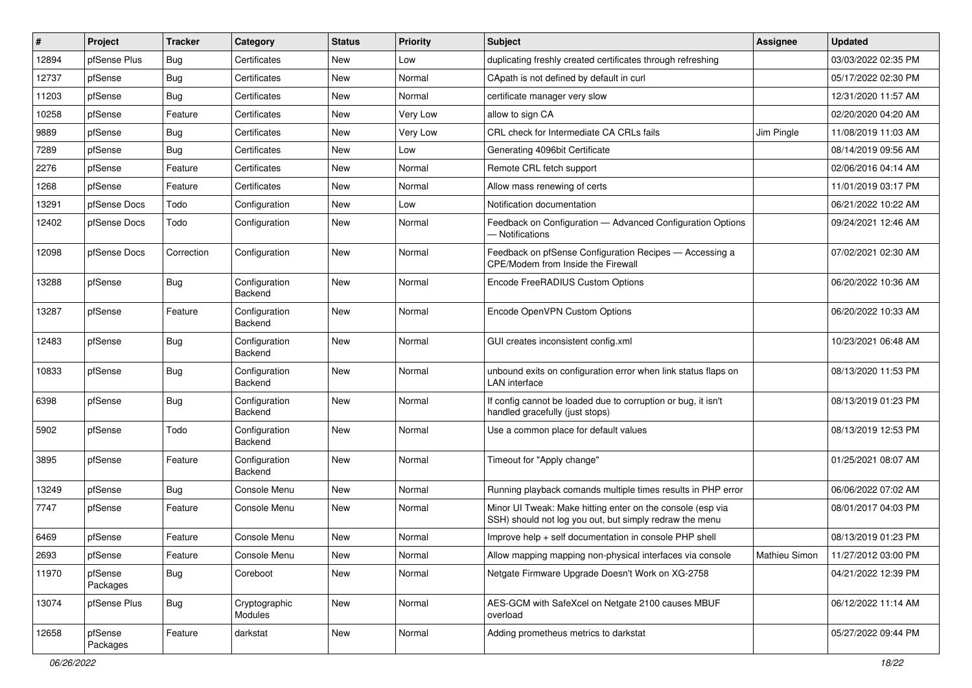| #     | Project             | <b>Tracker</b> | Category                 | <b>Status</b> | <b>Priority</b> | <b>Subject</b>                                                                                                        | <b>Assignee</b> | <b>Updated</b>      |
|-------|---------------------|----------------|--------------------------|---------------|-----------------|-----------------------------------------------------------------------------------------------------------------------|-----------------|---------------------|
| 12894 | pfSense Plus        | <b>Bug</b>     | Certificates             | New           | Low             | duplicating freshly created certificates through refreshing                                                           |                 | 03/03/2022 02:35 PM |
| 12737 | pfSense             | Bug            | Certificates             | New           | Normal          | CApath is not defined by default in curl                                                                              |                 | 05/17/2022 02:30 PM |
| 11203 | pfSense             | Bug            | Certificates             | New           | Normal          | certificate manager very slow                                                                                         |                 | 12/31/2020 11:57 AM |
| 10258 | pfSense             | Feature        | Certificates             | New           | Very Low        | allow to sign CA                                                                                                      |                 | 02/20/2020 04:20 AM |
| 9889  | pfSense             | <b>Bug</b>     | Certificates             | <b>New</b>    | Very Low        | CRL check for Intermediate CA CRLs fails                                                                              | Jim Pingle      | 11/08/2019 11:03 AM |
| 7289  | pfSense             | Bug            | Certificates             | New           | Low             | Generating 4096bit Certificate                                                                                        |                 | 08/14/2019 09:56 AM |
| 2276  | pfSense             | Feature        | Certificates             | New           | Normal          | Remote CRL fetch support                                                                                              |                 | 02/06/2016 04:14 AM |
| 1268  | pfSense             | Feature        | Certificates             | New           | Normal          | Allow mass renewing of certs                                                                                          |                 | 11/01/2019 03:17 PM |
| 13291 | pfSense Docs        | Todo           | Configuration            | New           | Low             | Notification documentation                                                                                            |                 | 06/21/2022 10:22 AM |
| 12402 | pfSense Docs        | Todo           | Configuration            | <b>New</b>    | Normal          | Feedback on Configuration - Advanced Configuration Options<br>- Notifications                                         |                 | 09/24/2021 12:46 AM |
| 12098 | pfSense Docs        | Correction     | Configuration            | New           | Normal          | Feedback on pfSense Configuration Recipes - Accessing a<br>CPE/Modem from Inside the Firewall                         |                 | 07/02/2021 02:30 AM |
| 13288 | pfSense             | Bug            | Configuration<br>Backend | New           | Normal          | Encode FreeRADIUS Custom Options                                                                                      |                 | 06/20/2022 10:36 AM |
| 13287 | pfSense             | Feature        | Configuration<br>Backend | New           | Normal          | Encode OpenVPN Custom Options                                                                                         |                 | 06/20/2022 10:33 AM |
| 12483 | pfSense             | Bug            | Configuration<br>Backend | New           | Normal          | GUI creates inconsistent config.xml                                                                                   |                 | 10/23/2021 06:48 AM |
| 10833 | pfSense             | <b>Bug</b>     | Configuration<br>Backend | New           | Normal          | unbound exits on configuration error when link status flaps on<br><b>LAN</b> interface                                |                 | 08/13/2020 11:53 PM |
| 6398  | pfSense             | Bug            | Configuration<br>Backend | New           | Normal          | If config cannot be loaded due to corruption or bug, it isn't<br>handled gracefully (just stops)                      |                 | 08/13/2019 01:23 PM |
| 5902  | pfSense             | Todo           | Configuration<br>Backend | New           | Normal          | Use a common place for default values                                                                                 |                 | 08/13/2019 12:53 PM |
| 3895  | pfSense             | Feature        | Configuration<br>Backend | New           | Normal          | Timeout for "Apply change"                                                                                            |                 | 01/25/2021 08:07 AM |
| 13249 | pfSense             | Bug            | Console Menu             | <b>New</b>    | Normal          | Running playback comands multiple times results in PHP error                                                          |                 | 06/06/2022 07:02 AM |
| 7747  | pfSense             | Feature        | Console Menu             | New           | Normal          | Minor UI Tweak: Make hitting enter on the console (esp via<br>SSH) should not log you out, but simply redraw the menu |                 | 08/01/2017 04:03 PM |
| 6469  | pfSense             | Feature        | Console Menu             | New           | Normal          | Improve help + self documentation in console PHP shell                                                                |                 | 08/13/2019 01:23 PM |
| 2693  | pfSense             | Feature        | Console Menu             | New           | Normal          | Allow mapping mapping non-physical interfaces via console                                                             | Mathieu Simon   | 11/27/2012 03:00 PM |
| 11970 | pfSense<br>Packages | <b>Bug</b>     | Coreboot                 | New           | Normal          | Netgate Firmware Upgrade Doesn't Work on XG-2758                                                                      |                 | 04/21/2022 12:39 PM |
| 13074 | pfSense Plus        | <b>Bug</b>     | Cryptographic<br>Modules | New           | Normal          | AES-GCM with SafeXcel on Netgate 2100 causes MBUF<br>overload                                                         |                 | 06/12/2022 11:14 AM |
| 12658 | pfSense<br>Packages | Feature        | darkstat                 | New           | Normal          | Adding prometheus metrics to darkstat                                                                                 |                 | 05/27/2022 09:44 PM |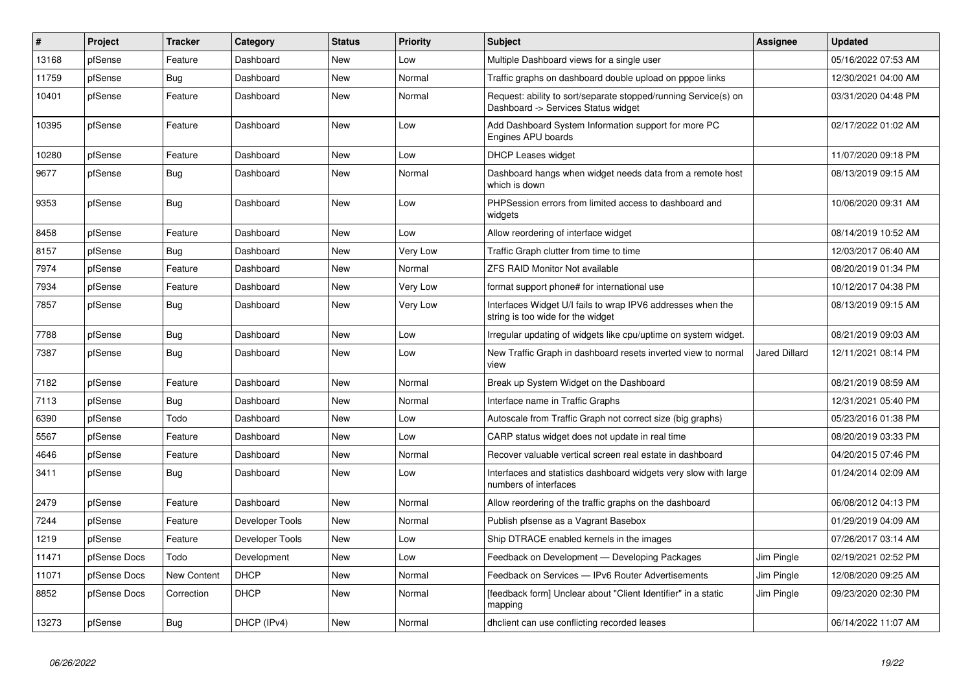| $\vert$ # | Project      | <b>Tracker</b>     | Category        | <b>Status</b> | <b>Priority</b> | <b>Subject</b>                                                                                         | <b>Assignee</b>      | <b>Updated</b>      |
|-----------|--------------|--------------------|-----------------|---------------|-----------------|--------------------------------------------------------------------------------------------------------|----------------------|---------------------|
| 13168     | pfSense      | Feature            | Dashboard       | <b>New</b>    | Low             | Multiple Dashboard views for a single user                                                             |                      | 05/16/2022 07:53 AM |
| 11759     | pfSense      | <b>Bug</b>         | Dashboard       | <b>New</b>    | Normal          | Traffic graphs on dashboard double upload on pppoe links                                               |                      | 12/30/2021 04:00 AM |
| 10401     | pfSense      | Feature            | Dashboard       | <b>New</b>    | Normal          | Request: ability to sort/separate stopped/running Service(s) on<br>Dashboard -> Services Status widget |                      | 03/31/2020 04:48 PM |
| 10395     | pfSense      | Feature            | Dashboard       | <b>New</b>    | Low             | Add Dashboard System Information support for more PC<br>Engines APU boards                             |                      | 02/17/2022 01:02 AM |
| 10280     | pfSense      | Feature            | Dashboard       | New           | Low             | <b>DHCP Leases widget</b>                                                                              |                      | 11/07/2020 09:18 PM |
| 9677      | pfSense      | <b>Bug</b>         | Dashboard       | <b>New</b>    | Normal          | Dashboard hangs when widget needs data from a remote host<br>which is down                             |                      | 08/13/2019 09:15 AM |
| 9353      | pfSense      | Bug                | Dashboard       | <b>New</b>    | Low             | PHPSession errors from limited access to dashboard and<br>widgets                                      |                      | 10/06/2020 09:31 AM |
| 8458      | pfSense      | Feature            | Dashboard       | <b>New</b>    | Low             | Allow reordering of interface widget                                                                   |                      | 08/14/2019 10:52 AM |
| 8157      | pfSense      | Bug                | Dashboard       | <b>New</b>    | Very Low        | Traffic Graph clutter from time to time                                                                |                      | 12/03/2017 06:40 AM |
| 7974      | pfSense      | Feature            | Dashboard       | <b>New</b>    | Normal          | <b>ZFS RAID Monitor Not available</b>                                                                  |                      | 08/20/2019 01:34 PM |
| 7934      | pfSense      | Feature            | Dashboard       | <b>New</b>    | Very Low        | format support phone# for international use                                                            |                      | 10/12/2017 04:38 PM |
| 7857      | pfSense      | Bug                | Dashboard       | New           | Very Low        | Interfaces Widget U/I fails to wrap IPV6 addresses when the<br>string is too wide for the widget       |                      | 08/13/2019 09:15 AM |
| 7788      | pfSense      | <b>Bug</b>         | Dashboard       | <b>New</b>    | Low             | Irregular updating of widgets like cpu/uptime on system widget.                                        |                      | 08/21/2019 09:03 AM |
| 7387      | pfSense      | Bug                | Dashboard       | <b>New</b>    | Low             | New Traffic Graph in dashboard resets inverted view to normal<br>view                                  | <b>Jared Dillard</b> | 12/11/2021 08:14 PM |
| 7182      | pfSense      | Feature            | Dashboard       | <b>New</b>    | Normal          | Break up System Widget on the Dashboard                                                                |                      | 08/21/2019 08:59 AM |
| 7113      | pfSense      | Bug                | Dashboard       | <b>New</b>    | Normal          | Interface name in Traffic Graphs                                                                       |                      | 12/31/2021 05:40 PM |
| 6390      | pfSense      | Todo               | Dashboard       | <b>New</b>    | Low             | Autoscale from Traffic Graph not correct size (big graphs)                                             |                      | 05/23/2016 01:38 PM |
| 5567      | pfSense      | Feature            | Dashboard       | <b>New</b>    | Low             | CARP status widget does not update in real time                                                        |                      | 08/20/2019 03:33 PM |
| 4646      | pfSense      | Feature            | Dashboard       | <b>New</b>    | Normal          | Recover valuable vertical screen real estate in dashboard                                              |                      | 04/20/2015 07:46 PM |
| 3411      | pfSense      | <b>Bug</b>         | Dashboard       | <b>New</b>    | Low             | Interfaces and statistics dashboard widgets very slow with large<br>numbers of interfaces              |                      | 01/24/2014 02:09 AM |
| 2479      | pfSense      | Feature            | Dashboard       | <b>New</b>    | Normal          | Allow reordering of the traffic graphs on the dashboard                                                |                      | 06/08/2012 04:13 PM |
| 7244      | pfSense      | Feature            | Developer Tools | <b>New</b>    | Normal          | Publish pfsense as a Vagrant Basebox                                                                   |                      | 01/29/2019 04:09 AM |
| 1219      | pfSense      | Feature            | Developer Tools | <b>New</b>    | Low             | Ship DTRACE enabled kernels in the images                                                              |                      | 07/26/2017 03:14 AM |
| 11471     | pfSense Docs | Todo               | Development     | <b>New</b>    | Low             | Feedback on Development - Developing Packages                                                          | Jim Pingle           | 02/19/2021 02:52 PM |
| 11071     | pfSense Docs | <b>New Content</b> | <b>DHCP</b>     | <b>New</b>    | Normal          | Feedback on Services - IPv6 Router Advertisements                                                      | Jim Pingle           | 12/08/2020 09:25 AM |
| 8852      | pfSense Docs | Correction         | <b>DHCP</b>     | New           | Normal          | [feedback form] Unclear about "Client Identifier" in a static<br>mapping                               | Jim Pingle           | 09/23/2020 02:30 PM |
| 13273     | pfSense      | Bug                | DHCP (IPv4)     | New           | Normal          | dholient can use conflicting recorded leases                                                           |                      | 06/14/2022 11:07 AM |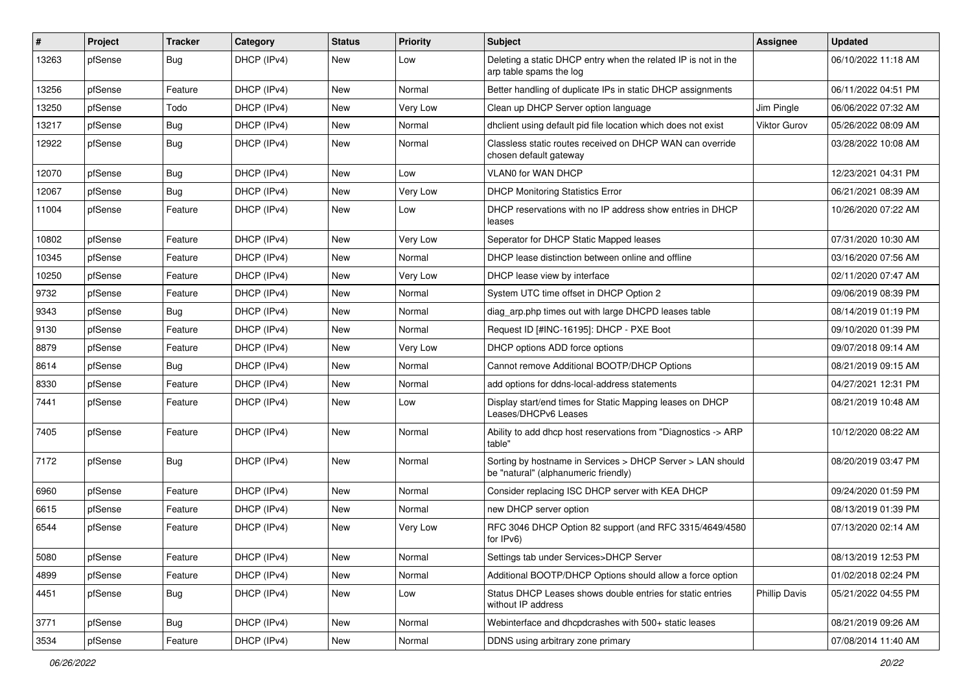| $\vert$ # | Project | <b>Tracker</b> | Category    | <b>Status</b> | <b>Priority</b> | Subject                                                                                            | <b>Assignee</b>     | <b>Updated</b>      |
|-----------|---------|----------------|-------------|---------------|-----------------|----------------------------------------------------------------------------------------------------|---------------------|---------------------|
| 13263     | pfSense | <b>Bug</b>     | DHCP (IPv4) | New           | Low             | Deleting a static DHCP entry when the related IP is not in the<br>arp table spams the log          |                     | 06/10/2022 11:18 AM |
| 13256     | pfSense | Feature        | DHCP (IPv4) | New           | Normal          | Better handling of duplicate IPs in static DHCP assignments                                        |                     | 06/11/2022 04:51 PM |
| 13250     | pfSense | Todo           | DHCP (IPv4) | New           | Very Low        | Clean up DHCP Server option language                                                               | Jim Pingle          | 06/06/2022 07:32 AM |
| 13217     | pfSense | <b>Bug</b>     | DHCP (IPv4) | New           | Normal          | dhclient using default pid file location which does not exist                                      | <b>Viktor Gurov</b> | 05/26/2022 08:09 AM |
| 12922     | pfSense | <b>Bug</b>     | DHCP (IPv4) | New           | Normal          | Classless static routes received on DHCP WAN can override<br>chosen default gateway                |                     | 03/28/2022 10:08 AM |
| 12070     | pfSense | <b>Bug</b>     | DHCP (IPv4) | <b>New</b>    | Low             | VLAN0 for WAN DHCP                                                                                 |                     | 12/23/2021 04:31 PM |
| 12067     | pfSense | <b>Bug</b>     | DHCP (IPv4) | New           | Very Low        | <b>DHCP Monitoring Statistics Error</b>                                                            |                     | 06/21/2021 08:39 AM |
| 11004     | pfSense | Feature        | DHCP (IPv4) | New           | Low             | DHCP reservations with no IP address show entries in DHCP<br>leases                                |                     | 10/26/2020 07:22 AM |
| 10802     | pfSense | Feature        | DHCP (IPv4) | <b>New</b>    | Very Low        | Seperator for DHCP Static Mapped leases                                                            |                     | 07/31/2020 10:30 AM |
| 10345     | pfSense | Feature        | DHCP (IPv4) | New           | Normal          | DHCP lease distinction between online and offline                                                  |                     | 03/16/2020 07:56 AM |
| 10250     | pfSense | Feature        | DHCP (IPv4) | New           | Very Low        | DHCP lease view by interface                                                                       |                     | 02/11/2020 07:47 AM |
| 9732      | pfSense | Feature        | DHCP (IPv4) | New           | Normal          | System UTC time offset in DHCP Option 2                                                            |                     | 09/06/2019 08:39 PM |
| 9343      | pfSense | <b>Bug</b>     | DHCP (IPv4) | <b>New</b>    | Normal          | diag_arp.php times out with large DHCPD leases table                                               |                     | 08/14/2019 01:19 PM |
| 9130      | pfSense | Feature        | DHCP (IPv4) | New           | Normal          | Request ID [#INC-16195]: DHCP - PXE Boot                                                           |                     | 09/10/2020 01:39 PM |
| 8879      | pfSense | Feature        | DHCP (IPv4) | <b>New</b>    | Very Low        | DHCP options ADD force options                                                                     |                     | 09/07/2018 09:14 AM |
| 8614      | pfSense | Bug            | DHCP (IPv4) | New           | Normal          | Cannot remove Additional BOOTP/DHCP Options                                                        |                     | 08/21/2019 09:15 AM |
| 8330      | pfSense | Feature        | DHCP (IPv4) | <b>New</b>    | Normal          | add options for ddns-local-address statements                                                      |                     | 04/27/2021 12:31 PM |
| 7441      | pfSense | Feature        | DHCP (IPv4) | <b>New</b>    | Low             | Display start/end times for Static Mapping leases on DHCP<br>Leases/DHCPv6 Leases                  |                     | 08/21/2019 10:48 AM |
| 7405      | pfSense | Feature        | DHCP (IPv4) | New           | Normal          | Ability to add dhcp host reservations from "Diagnostics -> ARP<br>table"                           |                     | 10/12/2020 08:22 AM |
| 7172      | pfSense | <b>Bug</b>     | DHCP (IPv4) | New           | Normal          | Sorting by hostname in Services > DHCP Server > LAN should<br>be "natural" (alphanumeric friendly) |                     | 08/20/2019 03:47 PM |
| 6960      | pfSense | Feature        | DHCP (IPv4) | New           | Normal          | Consider replacing ISC DHCP server with KEA DHCP                                                   |                     | 09/24/2020 01:59 PM |
| 6615      | pfSense | Feature        | DHCP (IPv4) | New           | Normal          | new DHCP server option                                                                             |                     | 08/13/2019 01:39 PM |
| 6544      | pfSense | Feature        | DHCP (IPv4) | <b>New</b>    | Very Low        | RFC 3046 DHCP Option 82 support (and RFC 3315/4649/4580<br>for IPv6)                               |                     | 07/13/2020 02:14 AM |
| 5080      | pfSense | Feature        | DHCP (IPv4) | New           | Normal          | Settings tab under Services>DHCP Server                                                            |                     | 08/13/2019 12:53 PM |
| 4899      | pfSense | Feature        | DHCP (IPv4) | New           | Normal          | Additional BOOTP/DHCP Options should allow a force option                                          |                     | 01/02/2018 02:24 PM |
| 4451      | pfSense | Bug            | DHCP (IPv4) | New           | Low             | Status DHCP Leases shows double entries for static entries<br>without IP address                   | Phillip Davis       | 05/21/2022 04:55 PM |
| 3771      | pfSense | Bug            | DHCP (IPv4) | New           | Normal          | Webinterface and dhcpdcrashes with 500+ static leases                                              |                     | 08/21/2019 09:26 AM |
| 3534      | pfSense | Feature        | DHCP (IPv4) | New           | Normal          | DDNS using arbitrary zone primary                                                                  |                     | 07/08/2014 11:40 AM |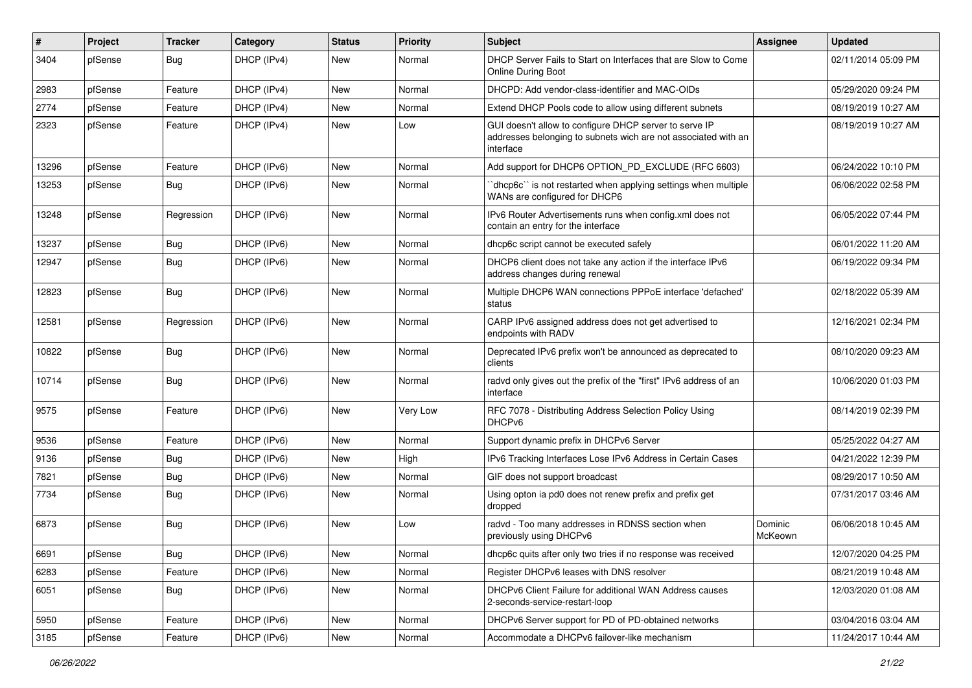| #     | Project | <b>Tracker</b> | Category    | <b>Status</b> | <b>Priority</b> | Subject                                                                                                                               | <b>Assignee</b>    | <b>Updated</b>      |
|-------|---------|----------------|-------------|---------------|-----------------|---------------------------------------------------------------------------------------------------------------------------------------|--------------------|---------------------|
| 3404  | pfSense | <b>Bug</b>     | DHCP (IPv4) | New           | Normal          | DHCP Server Fails to Start on Interfaces that are Slow to Come<br>Online During Boot                                                  |                    | 02/11/2014 05:09 PM |
| 2983  | pfSense | Feature        | DHCP (IPv4) | New           | Normal          | DHCPD: Add vendor-class-identifier and MAC-OIDs                                                                                       |                    | 05/29/2020 09:24 PM |
| 2774  | pfSense | Feature        | DHCP (IPv4) | New           | Normal          | Extend DHCP Pools code to allow using different subnets                                                                               |                    | 08/19/2019 10:27 AM |
| 2323  | pfSense | Feature        | DHCP (IPv4) | New           | Low             | GUI doesn't allow to configure DHCP server to serve IP<br>addresses belonging to subnets wich are not associated with an<br>interface |                    | 08/19/2019 10:27 AM |
| 13296 | pfSense | Feature        | DHCP (IPv6) | <b>New</b>    | Normal          | Add support for DHCP6 OPTION_PD_EXCLUDE (RFC 6603)                                                                                    |                    | 06/24/2022 10:10 PM |
| 13253 | pfSense | <b>Bug</b>     | DHCP (IPv6) | New           | Normal          | 'dhcp6c' is not restarted when applying settings when multiple<br>WANs are configured for DHCP6                                       |                    | 06/06/2022 02:58 PM |
| 13248 | pfSense | Regression     | DHCP (IPv6) | <b>New</b>    | Normal          | IPv6 Router Advertisements runs when config.xml does not<br>contain an entry for the interface                                        |                    | 06/05/2022 07:44 PM |
| 13237 | pfSense | <b>Bug</b>     | DHCP (IPv6) | <b>New</b>    | Normal          | dhcp6c script cannot be executed safely                                                                                               |                    | 06/01/2022 11:20 AM |
| 12947 | pfSense | <b>Bug</b>     | DHCP (IPv6) | New           | Normal          | DHCP6 client does not take any action if the interface IPv6<br>address changes during renewal                                         |                    | 06/19/2022 09:34 PM |
| 12823 | pfSense | Bug            | DHCP (IPv6) | <b>New</b>    | Normal          | Multiple DHCP6 WAN connections PPPoE interface 'defached'<br>status                                                                   |                    | 02/18/2022 05:39 AM |
| 12581 | pfSense | Regression     | DHCP (IPv6) | New           | Normal          | CARP IPv6 assigned address does not get advertised to<br>endpoints with RADV                                                          |                    | 12/16/2021 02:34 PM |
| 10822 | pfSense | <b>Bug</b>     | DHCP (IPv6) | <b>New</b>    | Normal          | Deprecated IPv6 prefix won't be announced as deprecated to<br>clients                                                                 |                    | 08/10/2020 09:23 AM |
| 10714 | pfSense | <b>Bug</b>     | DHCP (IPv6) | <b>New</b>    | Normal          | radvd only gives out the prefix of the "first" IPv6 address of an<br>interface                                                        |                    | 10/06/2020 01:03 PM |
| 9575  | pfSense | Feature        | DHCP (IPv6) | <b>New</b>    | Very Low        | RFC 7078 - Distributing Address Selection Policy Using<br>DHCPv6                                                                      |                    | 08/14/2019 02:39 PM |
| 9536  | pfSense | Feature        | DHCP (IPv6) | <b>New</b>    | Normal          | Support dynamic prefix in DHCPv6 Server                                                                                               |                    | 05/25/2022 04:27 AM |
| 9136  | pfSense | Bug            | DHCP (IPv6) | <b>New</b>    | High            | IPv6 Tracking Interfaces Lose IPv6 Address in Certain Cases                                                                           |                    | 04/21/2022 12:39 PM |
| 7821  | pfSense | <b>Bug</b>     | DHCP (IPv6) | New           | Normal          | GIF does not support broadcast                                                                                                        |                    | 08/29/2017 10:50 AM |
| 7734  | pfSense | <b>Bug</b>     | DHCP (IPv6) | New           | Normal          | Using opton ia pd0 does not renew prefix and prefix get<br>dropped                                                                    |                    | 07/31/2017 03:46 AM |
| 6873  | pfSense | <b>Bug</b>     | DHCP (IPv6) | New           | Low             | radvd - Too many addresses in RDNSS section when<br>previously using DHCPv6                                                           | Dominic<br>McKeown | 06/06/2018 10:45 AM |
| 6691  | pfSense | <b>Bug</b>     | DHCP (IPv6) | New           | Normal          | dhcp6c quits after only two tries if no response was received                                                                         |                    | 12/07/2020 04:25 PM |
| 6283  | pfSense | Feature        | DHCP (IPv6) | New           | Normal          | Register DHCPv6 leases with DNS resolver                                                                                              |                    | 08/21/2019 10:48 AM |
| 6051  | pfSense | Bug            | DHCP (IPv6) | New           | Normal          | DHCPv6 Client Failure for additional WAN Address causes<br>2-seconds-service-restart-loop                                             |                    | 12/03/2020 01:08 AM |
| 5950  | pfSense | Feature        | DHCP (IPv6) | New           | Normal          | DHCPv6 Server support for PD of PD-obtained networks                                                                                  |                    | 03/04/2016 03:04 AM |
| 3185  | pfSense | Feature        | DHCP (IPv6) | New           | Normal          | Accommodate a DHCPv6 failover-like mechanism                                                                                          |                    | 11/24/2017 10:44 AM |